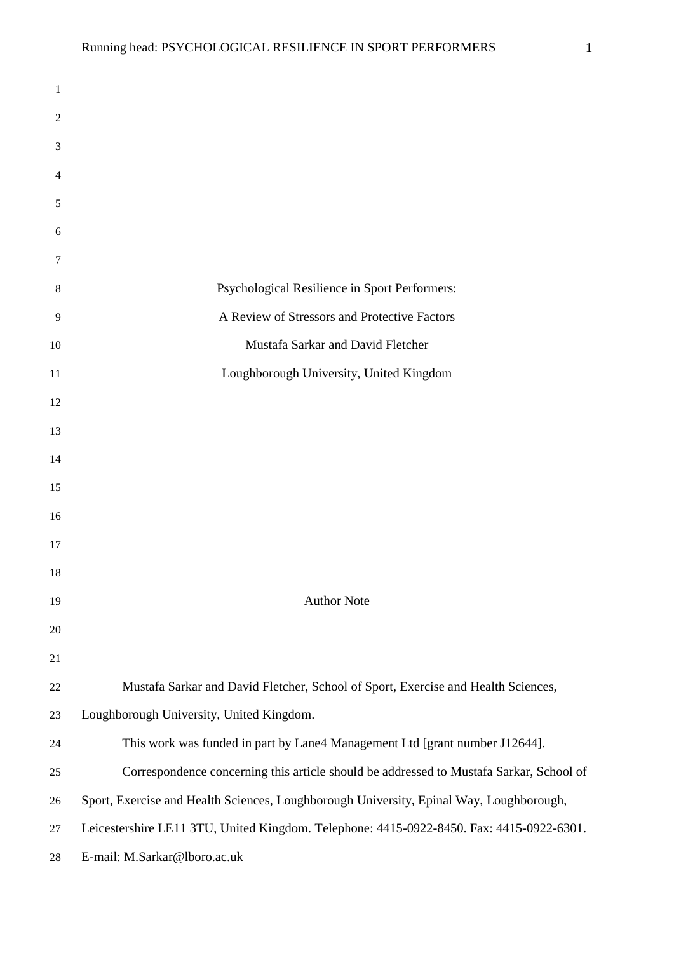| 1              |                                                                                          |
|----------------|------------------------------------------------------------------------------------------|
| $\overline{2}$ |                                                                                          |
| 3              |                                                                                          |
| 4              |                                                                                          |
| 5              |                                                                                          |
| 6              |                                                                                          |
| 7              |                                                                                          |
| 8              | Psychological Resilience in Sport Performers:                                            |
| 9              | A Review of Stressors and Protective Factors                                             |
| 10             | Mustafa Sarkar and David Fletcher                                                        |
| 11             | Loughborough University, United Kingdom                                                  |
| 12             |                                                                                          |
| 13             |                                                                                          |
| 14             |                                                                                          |
| 15             |                                                                                          |
| 16             |                                                                                          |
| 17             |                                                                                          |
| 18             |                                                                                          |
| 19             | <b>Author Note</b>                                                                       |
| $20\,$         |                                                                                          |
| 21             |                                                                                          |
| 22             | Mustafa Sarkar and David Fletcher, School of Sport, Exercise and Health Sciences,        |
| 23             | Loughborough University, United Kingdom.                                                 |
| 24             | This work was funded in part by Lane4 Management Ltd [grant number J12644].              |
| 25             | Correspondence concerning this article should be addressed to Mustafa Sarkar, School of  |
| 26             | Sport, Exercise and Health Sciences, Loughborough University, Epinal Way, Loughborough,  |
| $27\,$         | Leicestershire LE11 3TU, United Kingdom. Telephone: 4415-0922-8450. Fax: 4415-0922-6301. |
| 28             | E-mail: M.Sarkar@lboro.ac.uk                                                             |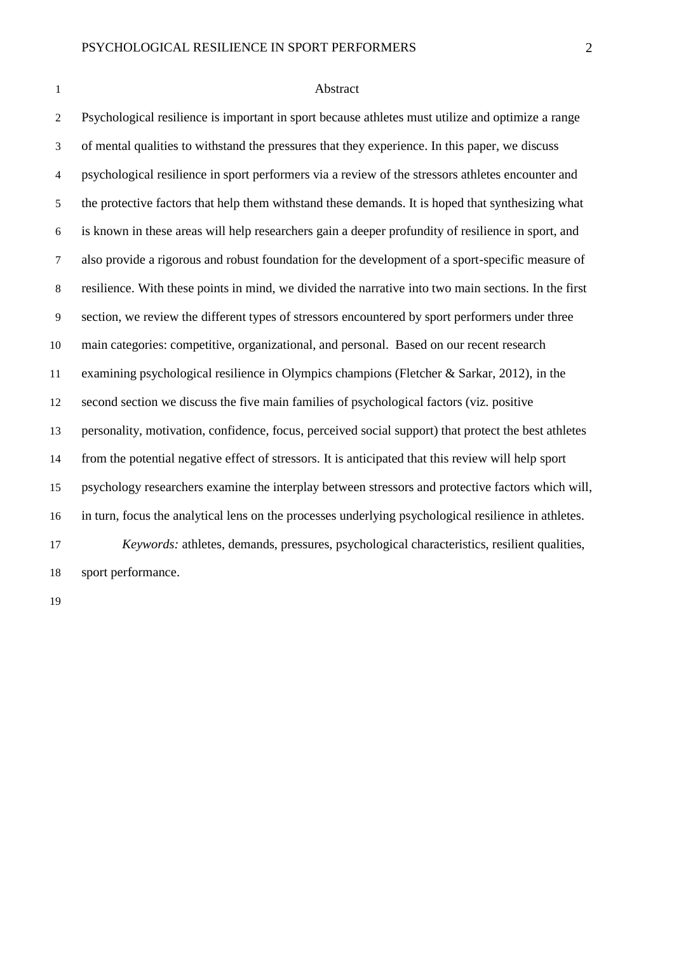#### Abstract

 Psychological resilience is important in sport because athletes must utilize and optimize a range of mental qualities to withstand the pressures that they experience. In this paper, we discuss psychological resilience in sport performers via a review of the stressors athletes encounter and the protective factors that help them withstand these demands. It is hoped that synthesizing what is known in these areas will help researchers gain a deeper profundity of resilience in sport, and also provide a rigorous and robust foundation for the development of a sport-specific measure of resilience. With these points in mind, we divided the narrative into two main sections. In the first section, we review the different types of stressors encountered by sport performers under three main categories: competitive, organizational, and personal. Based on our recent research examining psychological resilience in Olympics champions (Fletcher & Sarkar, 2012), in the second section we discuss the five main families of psychological factors (viz. positive personality, motivation, confidence, focus, perceived social support) that protect the best athletes from the potential negative effect of stressors. It is anticipated that this review will help sport psychology researchers examine the interplay between stressors and protective factors which will, in turn, focus the analytical lens on the processes underlying psychological resilience in athletes. *Keywords:* athletes, demands, pressures, psychological characteristics, resilient qualities, sport performance.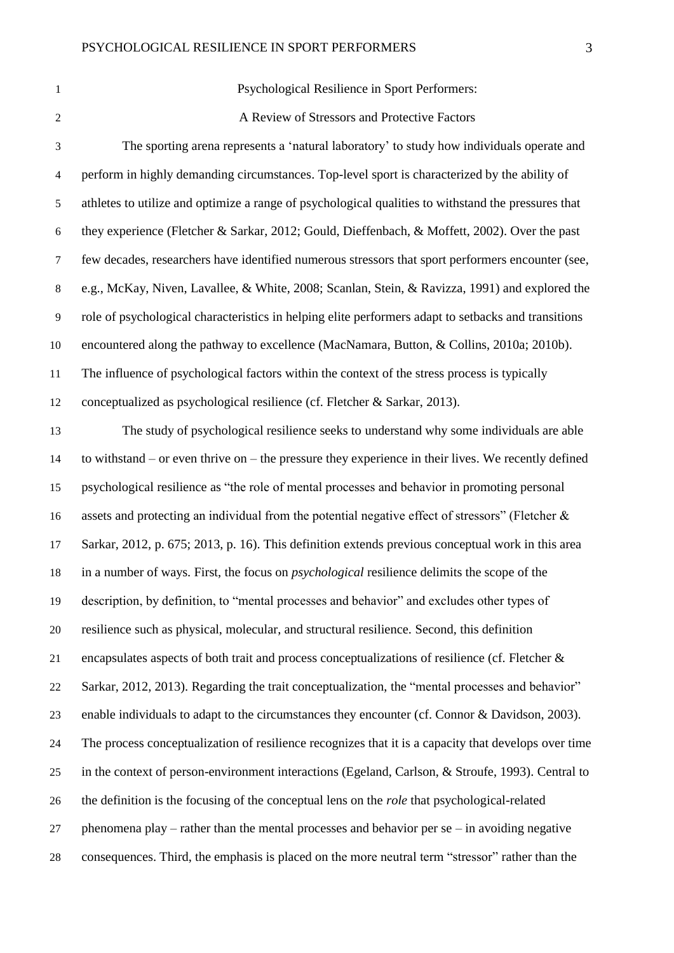Psychological Resilience in Sport Performers:

**A Review of Stressors and Protective Factors** 

 The sporting arena represents a 'natural laboratory' to study how individuals operate and perform in highly demanding circumstances. Top-level sport is characterized by the ability of athletes to utilize and optimize a range of psychological qualities to withstand the pressures that they experience (Fletcher & Sarkar, 2012; Gould, Dieffenbach, & Moffett, 2002). Over the past few decades, researchers have identified numerous stressors that sport performers encounter (see, e.g., McKay, Niven, Lavallee, & White, 2008; Scanlan, Stein, & Ravizza, 1991) and explored the role of psychological characteristics in helping elite performers adapt to setbacks and transitions encountered along the pathway to excellence (MacNamara, Button, & Collins, 2010a; 2010b). The influence of psychological factors within the context of the stress process is typically conceptualized as psychological resilience (cf. Fletcher & Sarkar, 2013). The study of psychological resilience seeks to understand why some individuals are able to withstand – or even thrive on – the pressure they experience in their lives. We recently defined psychological resilience as "the role of mental processes and behavior in promoting personal assets and protecting an individual from the potential negative effect of stressors" (Fletcher & Sarkar, 2012, p. 675; 2013, p. 16). This definition extends previous conceptual work in this area

in a number of ways. First, the focus on *psychological* resilience delimits the scope of the

description, by definition, to "mental processes and behavior" and excludes other types of

resilience such as physical, molecular, and structural resilience. Second, this definition

encapsulates aspects of both trait and process conceptualizations of resilience (cf. Fletcher &

Sarkar, 2012, 2013). Regarding the trait conceptualization, the "mental processes and behavior"

enable individuals to adapt to the circumstances they encounter (cf. Connor & Davidson, 2003).

The process conceptualization of resilience recognizes that it is a capacity that develops over time

in the context of person-environment interactions (Egeland, Carlson, & Stroufe, 1993). Central to

the definition is the focusing of the conceptual lens on the *role* that psychological-related

phenomena play – rather than the mental processes and behavior per se – in avoiding negative

consequences. Third, the emphasis is placed on the more neutral term "stressor" rather than the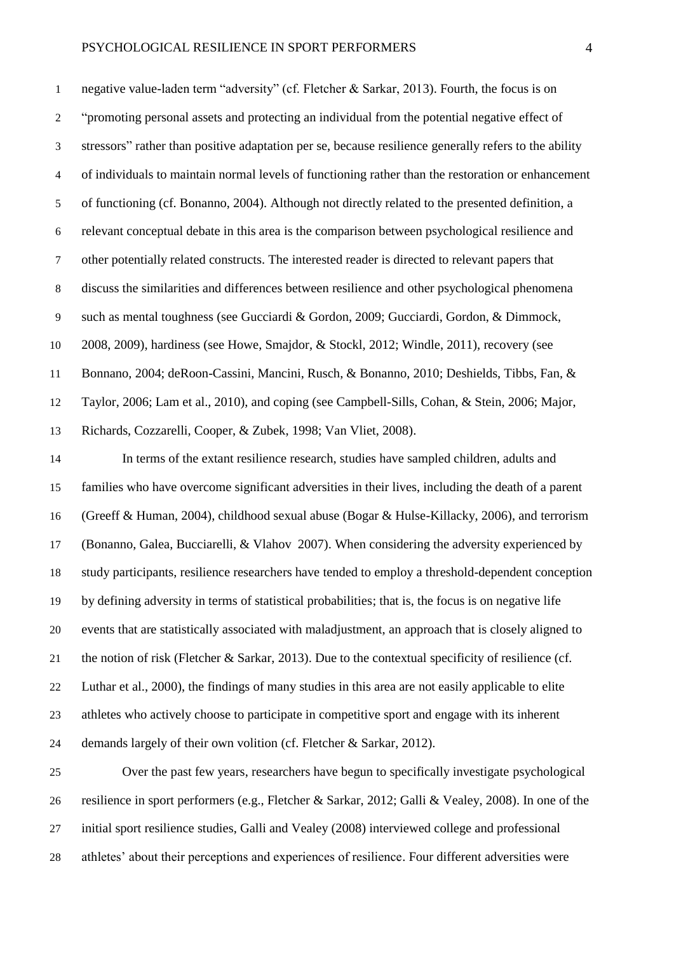negative value-laden term "adversity" (cf. Fletcher & Sarkar, 2013). Fourth, the focus is on "promoting personal assets and protecting an individual from the potential negative effect of stressors" rather than positive adaptation per se, because resilience generally refers to the ability of individuals to maintain normal levels of functioning rather than the restoration or enhancement of functioning (cf. Bonanno, 2004). Although not directly related to the presented definition, a relevant conceptual debate in this area is the comparison between psychological resilience and other potentially related constructs. The interested reader is directed to relevant papers that discuss the similarities and differences between resilience and other psychological phenomena such as mental toughness (see Gucciardi & Gordon, 2009; Gucciardi, Gordon, & Dimmock, 2008, 2009), hardiness (see Howe, Smajdor, & Stockl, 2012; Windle, 2011), recovery (see Bonnano, 2004; deRoon-Cassini, Mancini, Rusch, & Bonanno, 2010; Deshields, Tibbs, Fan, & Taylor, 2006; Lam et al., 2010), and coping (see Campbell-Sills, Cohan, & Stein, 2006; Major, Richards, Cozzarelli, Cooper, & Zubek, 1998; Van Vliet, 2008).

 In terms of the extant resilience research, studies have sampled children, adults and families who have overcome significant adversities in their lives, including the death of a parent (Greeff & Human, 2004), childhood sexual abuse (Bogar & Hulse-Killacky, 2006), and terrorism (Bonanno, Galea, Bucciarelli, & Vlahov 2007). When considering the adversity experienced by study participants, resilience researchers have tended to employ a threshold-dependent conception by defining adversity in terms of statistical probabilities; that is, the focus is on negative life events that are statistically associated with maladjustment, an approach that is closely aligned to the notion of risk (Fletcher & Sarkar, 2013). Due to the contextual specificity of resilience (cf. Luthar et al., 2000), the findings of many studies in this area are not easily applicable to elite athletes who actively choose to participate in competitive sport and engage with its inherent demands largely of their own volition (cf. Fletcher & Sarkar, 2012).

 Over the past few years, researchers have begun to specifically investigate psychological resilience in sport performers (e.g., Fletcher & Sarkar, 2012; Galli & Vealey, 2008). In one of the initial sport resilience studies, Galli and Vealey (2008) interviewed college and professional athletes' about their perceptions and experiences of resilience. Four different adversities were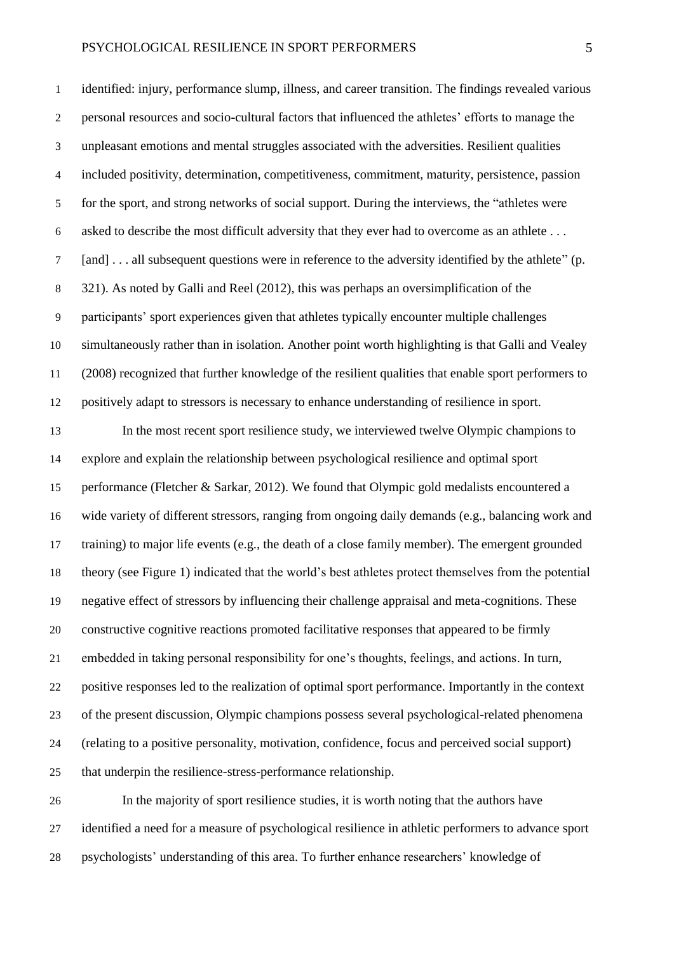identified: injury, performance slump, illness, and career transition. The findings revealed various personal resources and socio-cultural factors that influenced the athletes' efforts to manage the unpleasant emotions and mental struggles associated with the adversities. Resilient qualities included positivity, determination, competitiveness, commitment, maturity, persistence, passion for the sport, and strong networks of social support. During the interviews, the "athletes were asked to describe the most difficult adversity that they ever had to overcome as an athlete . . . [and] . . . all subsequent questions were in reference to the adversity identified by the athlete" (p. 321). As noted by Galli and Reel (2012), this was perhaps an oversimplification of the participants' sport experiences given that athletes typically encounter multiple challenges simultaneously rather than in isolation. Another point worth highlighting is that Galli and Vealey (2008) recognized that further knowledge of the resilient qualities that enable sport performers to positively adapt to stressors is necessary to enhance understanding of resilience in sport.

 In the most recent sport resilience study, we interviewed twelve Olympic champions to explore and explain the relationship between psychological resilience and optimal sport performance (Fletcher & Sarkar, 2012). We found that Olympic gold medalists encountered a wide variety of different stressors, ranging from ongoing daily demands (e.g., balancing work and training) to major life events (e.g., the death of a close family member). The emergent grounded theory (see Figure 1) indicated that the world's best athletes protect themselves from the potential negative effect of stressors by influencing their challenge appraisal and meta-cognitions. These constructive cognitive reactions promoted facilitative responses that appeared to be firmly embedded in taking personal responsibility for one's thoughts, feelings, and actions. In turn, positive responses led to the realization of optimal sport performance. Importantly in the context of the present discussion, Olympic champions possess several psychological-related phenomena (relating to a positive personality, motivation, confidence, focus and perceived social support) that underpin the resilience-stress-performance relationship.

 In the majority of sport resilience studies, it is worth noting that the authors have identified a need for a measure of psychological resilience in athletic performers to advance sport psychologists' understanding of this area. To further enhance researchers' knowledge of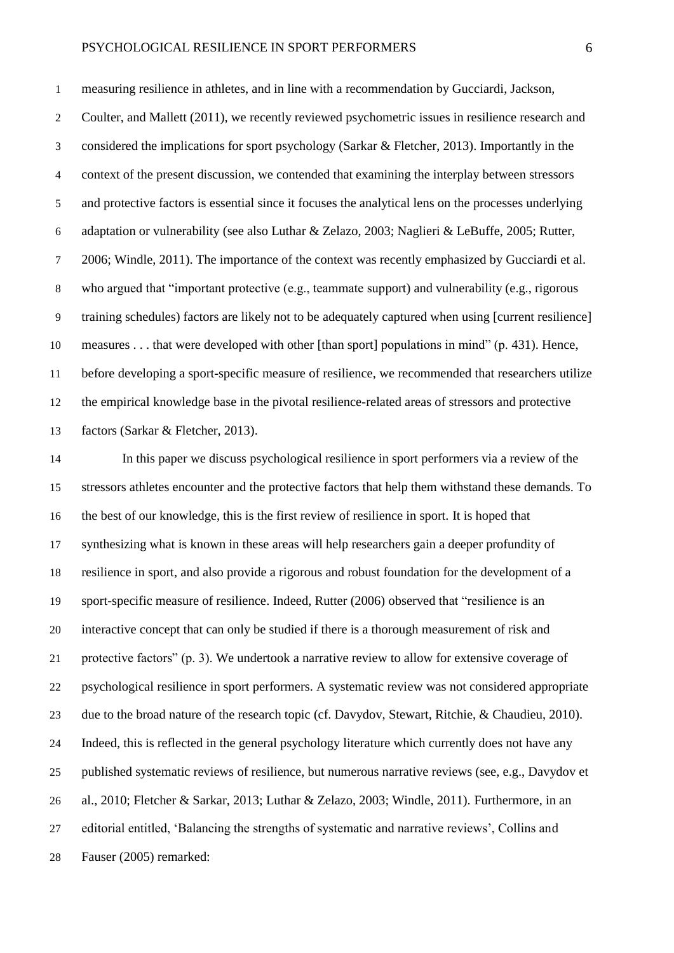measuring resilience in athletes, and in line with a recommendation by Gucciardi, Jackson, 2 Coulter, and Mallett (2011), we recently reviewed psychometric issues in resilience research and considered the implications for sport psychology (Sarkar & Fletcher, 2013). Importantly in the context of the present discussion, we contended that examining the interplay between stressors and protective factors is essential since it focuses the analytical lens on the processes underlying adaptation or vulnerability (see also Luthar & Zelazo, 2003; Naglieri & LeBuffe, 2005; Rutter, 2006; Windle, 2011). The importance of the context was recently emphasized by Gucciardi et al. who argued that "important protective (e.g., teammate support) and vulnerability (e.g., rigorous training schedules) factors are likely not to be adequately captured when using [current resilience] measures . . . that were developed with other [than sport] populations in mind" (p. 431). Hence, before developing a sport-specific measure of resilience, we recommended that researchers utilize the empirical knowledge base in the pivotal resilience-related areas of stressors and protective factors (Sarkar & Fletcher, 2013).

 In this paper we discuss psychological resilience in sport performers via a review of the stressors athletes encounter and the protective factors that help them withstand these demands. To the best of our knowledge, this is the first review of resilience in sport. It is hoped that synthesizing what is known in these areas will help researchers gain a deeper profundity of resilience in sport, and also provide a rigorous and robust foundation for the development of a sport-specific measure of resilience. Indeed, Rutter (2006) observed that "resilience is an interactive concept that can only be studied if there is a thorough measurement of risk and protective factors" (p. 3). We undertook a narrative review to allow for extensive coverage of psychological resilience in sport performers. A systematic review was not considered appropriate due to the broad nature of the research topic (cf. Davydov, Stewart, Ritchie, & Chaudieu, 2010). Indeed, this is reflected in the general psychology literature which currently does not have any published systematic reviews of resilience, but numerous narrative reviews (see, e.g., Davydov et al., 2010; Fletcher & Sarkar, 2013; Luthar & Zelazo, 2003; Windle, 2011). Furthermore, in an editorial entitled, 'Balancing the strengths of systematic and narrative reviews', Collins and Fauser (2005) remarked: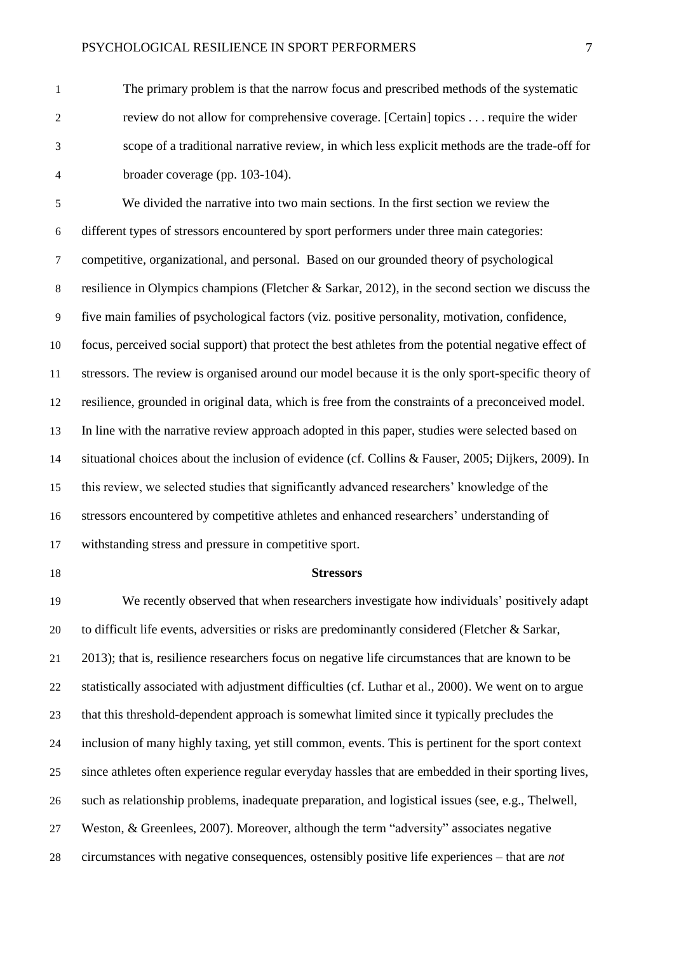The primary problem is that the narrow focus and prescribed methods of the systematic review do not allow for comprehensive coverage. [Certain] topics . . . require the wider scope of a traditional narrative review, in which less explicit methods are the trade-off for broader coverage (pp. 103-104).

 We divided the narrative into two main sections. In the first section we review the different types of stressors encountered by sport performers under three main categories: competitive, organizational, and personal. Based on our grounded theory of psychological resilience in Olympics champions (Fletcher & Sarkar, 2012), in the second section we discuss the five main families of psychological factors (viz. positive personality, motivation, confidence, focus, perceived social support) that protect the best athletes from the potential negative effect of stressors. The review is organised around our model because it is the only sport-specific theory of resilience, grounded in original data, which is free from the constraints of a preconceived model. In line with the narrative review approach adopted in this paper, studies were selected based on situational choices about the inclusion of evidence (cf. Collins & Fauser, 2005; Dijkers, 2009). In this review, we selected studies that significantly advanced researchers' knowledge of the stressors encountered by competitive athletes and enhanced researchers' understanding of withstanding stress and pressure in competitive sport.

#### **Stressors**

 We recently observed that when researchers investigate how individuals' positively adapt to difficult life events, adversities or risks are predominantly considered (Fletcher & Sarkar, 2013); that is, resilience researchers focus on negative life circumstances that are known to be statistically associated with adjustment difficulties (cf. Luthar et al., 2000). We went on to argue that this threshold-dependent approach is somewhat limited since it typically precludes the inclusion of many highly taxing, yet still common, events. This is pertinent for the sport context since athletes often experience regular everyday hassles that are embedded in their sporting lives, such as relationship problems, inadequate preparation, and logistical issues (see, e.g., Thelwell, Weston, & Greenlees, 2007). Moreover, although the term "adversity" associates negative circumstances with negative consequences, ostensibly positive life experiences – that are *not*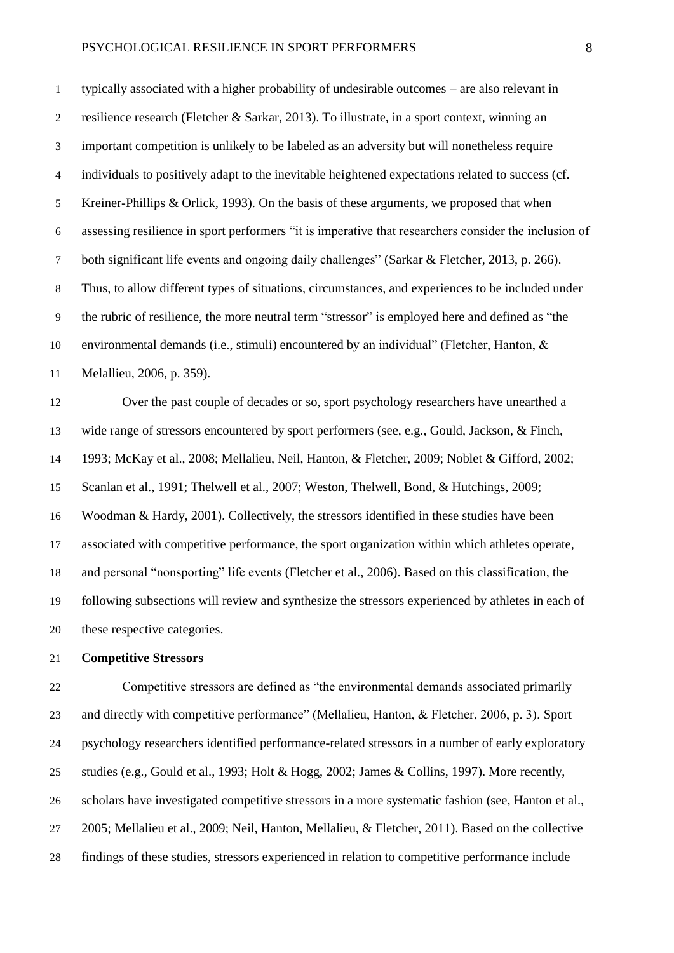typically associated with a higher probability of undesirable outcomes – are also relevant in resilience research (Fletcher & Sarkar, 2013). To illustrate, in a sport context, winning an important competition is unlikely to be labeled as an adversity but will nonetheless require individuals to positively adapt to the inevitable heightened expectations related to success (cf. Kreiner-Phillips & Orlick, 1993). On the basis of these arguments, we proposed that when assessing resilience in sport performers "it is imperative that researchers consider the inclusion of both significant life events and ongoing daily challenges" (Sarkar & Fletcher, 2013, p. 266). Thus, to allow different types of situations, circumstances, and experiences to be included under the rubric of resilience, the more neutral term "stressor" is employed here and defined as "the environmental demands (i.e., stimuli) encountered by an individual" (Fletcher, Hanton, & Melallieu, 2006, p. 359).

 Over the past couple of decades or so, sport psychology researchers have unearthed a wide range of stressors encountered by sport performers (see, e.g., Gould, Jackson, & Finch, 1993; McKay et al., 2008; Mellalieu, Neil, Hanton, & Fletcher, 2009; Noblet & Gifford, 2002; Scanlan et al., 1991; Thelwell et al., 2007; Weston, Thelwell, Bond, & Hutchings, 2009; Woodman & Hardy, 2001). Collectively, the stressors identified in these studies have been associated with competitive performance, the sport organization within which athletes operate, and personal "nonsporting" life events (Fletcher et al., 2006). Based on this classification, the following subsections will review and synthesize the stressors experienced by athletes in each of these respective categories.

# **Competitive Stressors**

 Competitive stressors are defined as "the environmental demands associated primarily and directly with competitive performance" (Mellalieu, Hanton, & Fletcher, 2006, p. 3). Sport psychology researchers identified performance-related stressors in a number of early exploratory studies (e.g., Gould et al., 1993; Holt & Hogg, 2002; James & Collins, 1997). More recently, scholars have investigated competitive stressors in a more systematic fashion (see, Hanton et al., 2005; Mellalieu et al., 2009; Neil, Hanton, Mellalieu, & Fletcher, 2011). Based on the collective findings of these studies, stressors experienced in relation to competitive performance include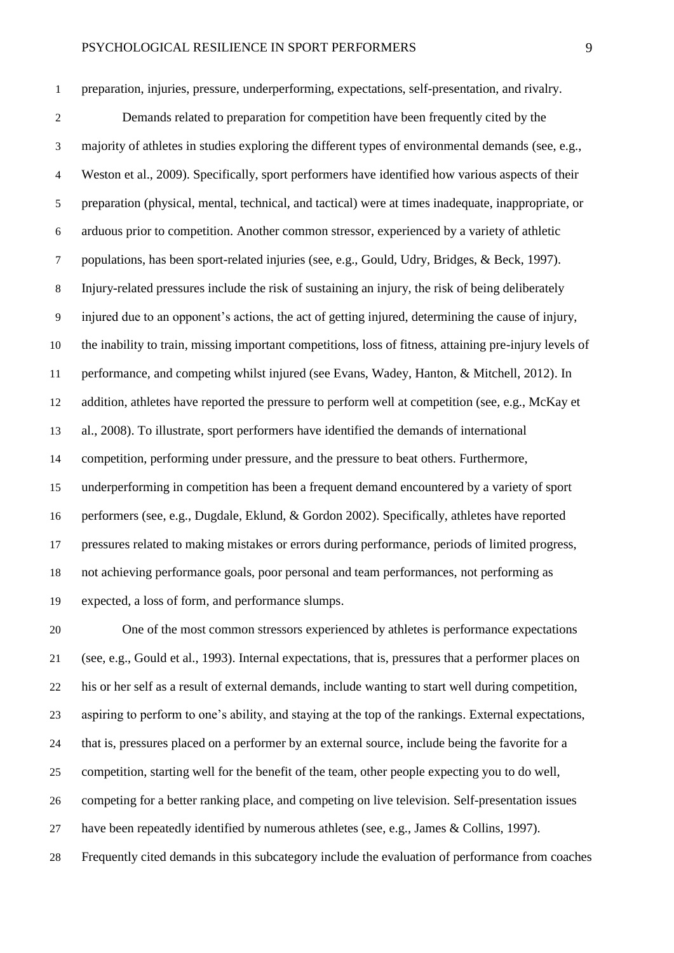preparation, injuries, pressure, underperforming, expectations, self-presentation, and rivalry. Demands related to preparation for competition have been frequently cited by the majority of athletes in studies exploring the different types of environmental demands (see, e.g., Weston et al., 2009). Specifically, sport performers have identified how various aspects of their preparation (physical, mental, technical, and tactical) were at times inadequate, inappropriate, or arduous prior to competition. Another common stressor, experienced by a variety of athletic populations, has been sport-related injuries (see, e.g., Gould, Udry, Bridges, & Beck, 1997). Injury-related pressures include the risk of sustaining an injury, the risk of being deliberately injured due to an opponent's actions, the act of getting injured, determining the cause of injury, the inability to train, missing important competitions, loss of fitness, attaining pre-injury levels of performance, and competing whilst injured (see Evans, Wadey, Hanton, & Mitchell, 2012). In addition, athletes have reported the pressure to perform well at competition (see, e.g., McKay et al., 2008). To illustrate, sport performers have identified the demands of international competition, performing under pressure, and the pressure to beat others. Furthermore, underperforming in competition has been a frequent demand encountered by a variety of sport performers (see, e.g., Dugdale, Eklund, & Gordon 2002). Specifically, athletes have reported pressures related to making mistakes or errors during performance, periods of limited progress, not achieving performance goals, poor personal and team performances, not performing as expected, a loss of form, and performance slumps.

 One of the most common stressors experienced by athletes is performance expectations (see, e.g., Gould et al., 1993). Internal expectations, that is, pressures that a performer places on his or her self as a result of external demands, include wanting to start well during competition, aspiring to perform to one's ability, and staying at the top of the rankings. External expectations, that is, pressures placed on a performer by an external source, include being the favorite for a competition, starting well for the benefit of the team, other people expecting you to do well, competing for a better ranking place, and competing on live television. Self-presentation issues have been repeatedly identified by numerous athletes (see, e.g., James & Collins, 1997). Frequently cited demands in this subcategory include the evaluation of performance from coaches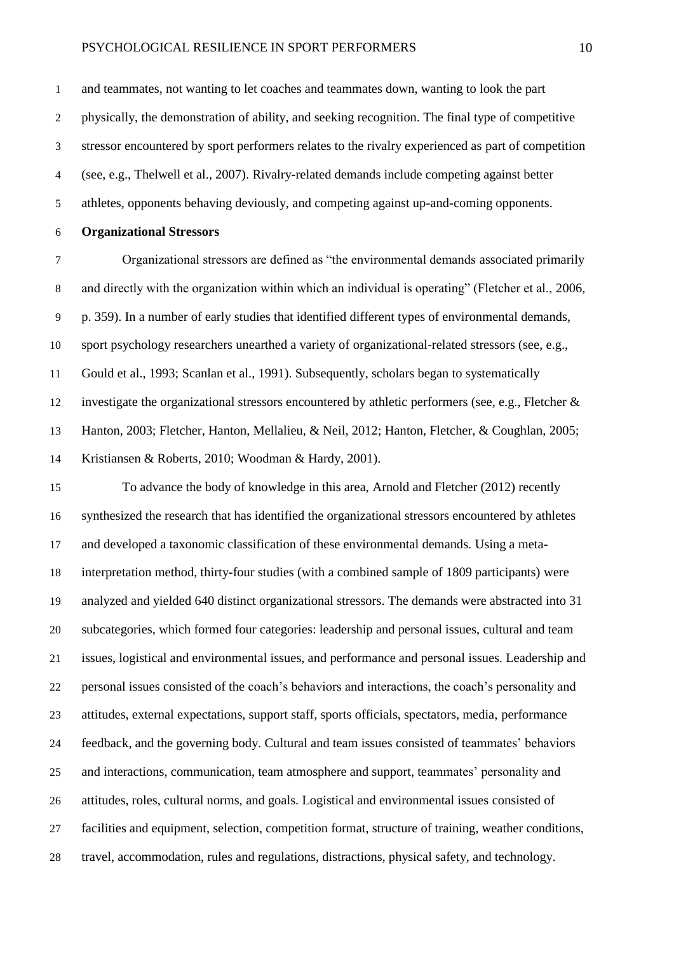and teammates, not wanting to let coaches and teammates down, wanting to look the part physically, the demonstration of ability, and seeking recognition. The final type of competitive stressor encountered by sport performers relates to the rivalry experienced as part of competition (see, e.g., Thelwell et al., 2007). Rivalry-related demands include competing against better athletes, opponents behaving deviously, and competing against up-and-coming opponents.

**Organizational Stressors**

 Organizational stressors are defined as "the environmental demands associated primarily and directly with the organization within which an individual is operating" (Fletcher et al., 2006, p. 359). In a number of early studies that identified different types of environmental demands, sport psychology researchers unearthed a variety of organizational-related stressors (see, e.g., Gould et al., 1993; Scanlan et al., 1991). Subsequently, scholars began to systematically investigate the organizational stressors encountered by athletic performers (see, e.g., Fletcher & Hanton, 2003; Fletcher, Hanton, Mellalieu, & Neil, 2012; Hanton, Fletcher, & Coughlan, 2005; Kristiansen & Roberts, 2010; Woodman & Hardy, 2001).

 To advance the body of knowledge in this area, Arnold and Fletcher (2012) recently synthesized the research that has identified the organizational stressors encountered by athletes and developed a taxonomic classification of these environmental demands. Using a meta- interpretation method, thirty-four studies (with a combined sample of 1809 participants) were analyzed and yielded 640 distinct organizational stressors. The demands were abstracted into 31 subcategories, which formed four categories: leadership and personal issues, cultural and team issues, logistical and environmental issues, and performance and personal issues. Leadership and personal issues consisted of the coach's behaviors and interactions, the coach's personality and attitudes, external expectations, support staff, sports officials, spectators, media, performance feedback, and the governing body. Cultural and team issues consisted of teammates' behaviors and interactions, communication, team atmosphere and support, teammates' personality and attitudes, roles, cultural norms, and goals. Logistical and environmental issues consisted of facilities and equipment, selection, competition format, structure of training, weather conditions, travel, accommodation, rules and regulations, distractions, physical safety, and technology.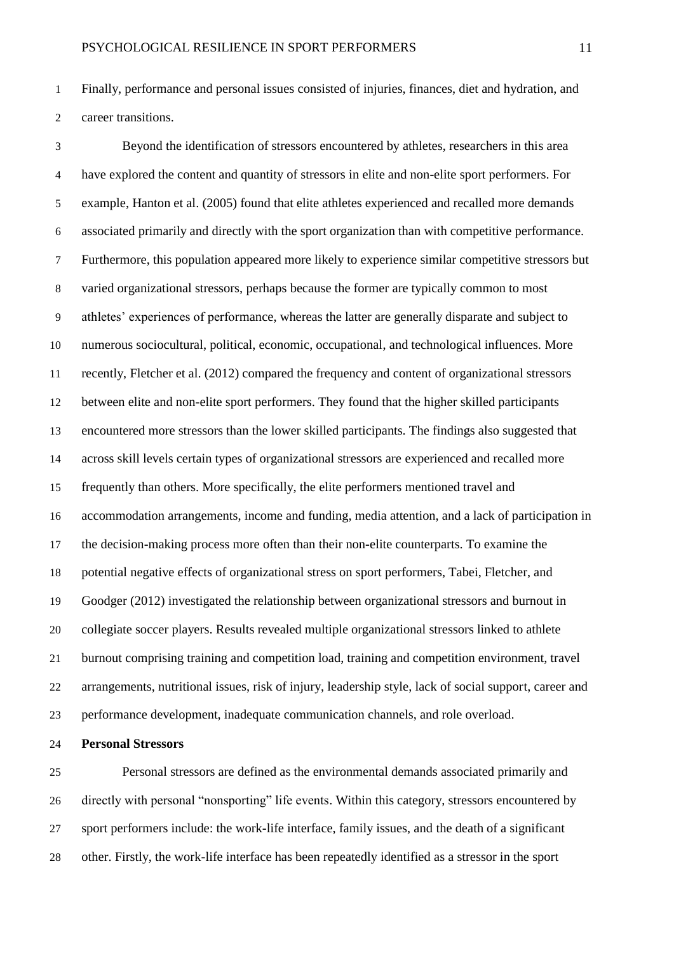Finally, performance and personal issues consisted of injuries, finances, diet and hydration, and career transitions.

 Beyond the identification of stressors encountered by athletes, researchers in this area have explored the content and quantity of stressors in elite and non-elite sport performers. For example, Hanton et al. (2005) found that elite athletes experienced and recalled more demands associated primarily and directly with the sport organization than with competitive performance. Furthermore, this population appeared more likely to experience similar competitive stressors but varied organizational stressors, perhaps because the former are typically common to most athletes' experiences of performance, whereas the latter are generally disparate and subject to numerous sociocultural, political, economic, occupational, and technological influences. More recently, Fletcher et al. (2012) compared the frequency and content of organizational stressors between elite and non-elite sport performers. They found that the higher skilled participants encountered more stressors than the lower skilled participants. The findings also suggested that across skill levels certain types of organizational stressors are experienced and recalled more frequently than others. More specifically, the elite performers mentioned travel and accommodation arrangements, income and funding, media attention, and a lack of participation in the decision-making process more often than their non-elite counterparts. To examine the potential negative effects of organizational stress on sport performers, Tabei, Fletcher, and Goodger (2012) investigated the relationship between organizational stressors and burnout in collegiate soccer players. Results revealed multiple organizational stressors linked to athlete burnout comprising training and competition load, training and competition environment, travel arrangements, nutritional issues, risk of injury, leadership style, lack of social support, career and performance development, inadequate communication channels, and role overload.

**Personal Stressors**

 Personal stressors are defined as the environmental demands associated primarily and directly with personal "nonsporting" life events. Within this category, stressors encountered by sport performers include: the work-life interface, family issues, and the death of a significant other. Firstly, the work-life interface has been repeatedly identified as a stressor in the sport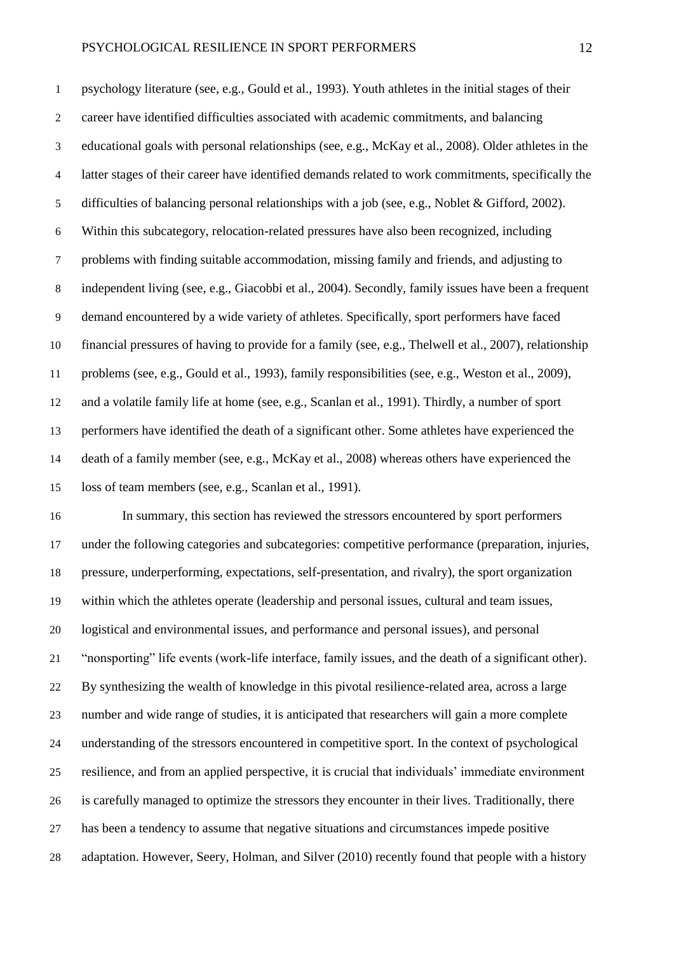psychology literature (see, e.g., Gould et al., 1993). Youth athletes in the initial stages of their career have identified difficulties associated with academic commitments, and balancing educational goals with personal relationships (see, e.g., McKay et al., 2008). Older athletes in the latter stages of their career have identified demands related to work commitments, specifically the difficulties of balancing personal relationships with a job (see, e.g., Noblet & Gifford, 2002). Within this subcategory, relocation-related pressures have also been recognized, including problems with finding suitable accommodation, missing family and friends, and adjusting to independent living (see, e.g., Giacobbi et al., 2004). Secondly, family issues have been a frequent demand encountered by a wide variety of athletes. Specifically, sport performers have faced financial pressures of having to provide for a family (see, e.g., Thelwell et al., 2007), relationship problems (see, e.g., Gould et al., 1993), family responsibilities (see, e.g., Weston et al., 2009), and a volatile family life at home (see, e.g., Scanlan et al., 1991). Thirdly, a number of sport performers have identified the death of a significant other. Some athletes have experienced the death of a family member (see, e.g., McKay et al., 2008) whereas others have experienced the loss of team members (see, e.g., Scanlan et al., 1991).

 In summary, this section has reviewed the stressors encountered by sport performers under the following categories and subcategories: competitive performance (preparation, injuries, pressure, underperforming, expectations, self-presentation, and rivalry), the sport organization within which the athletes operate (leadership and personal issues, cultural and team issues, logistical and environmental issues, and performance and personal issues), and personal "nonsporting" life events (work-life interface, family issues, and the death of a significant other). By synthesizing the wealth of knowledge in this pivotal resilience-related area, across a large number and wide range of studies, it is anticipated that researchers will gain a more complete understanding of the stressors encountered in competitive sport. In the context of psychological resilience, and from an applied perspective, it is crucial that individuals' immediate environment is carefully managed to optimize the stressors they encounter in their lives. Traditionally, there has been a tendency to assume that negative situations and circumstances impede positive adaptation. However, Seery, Holman, and Silver (2010) recently found that people with a history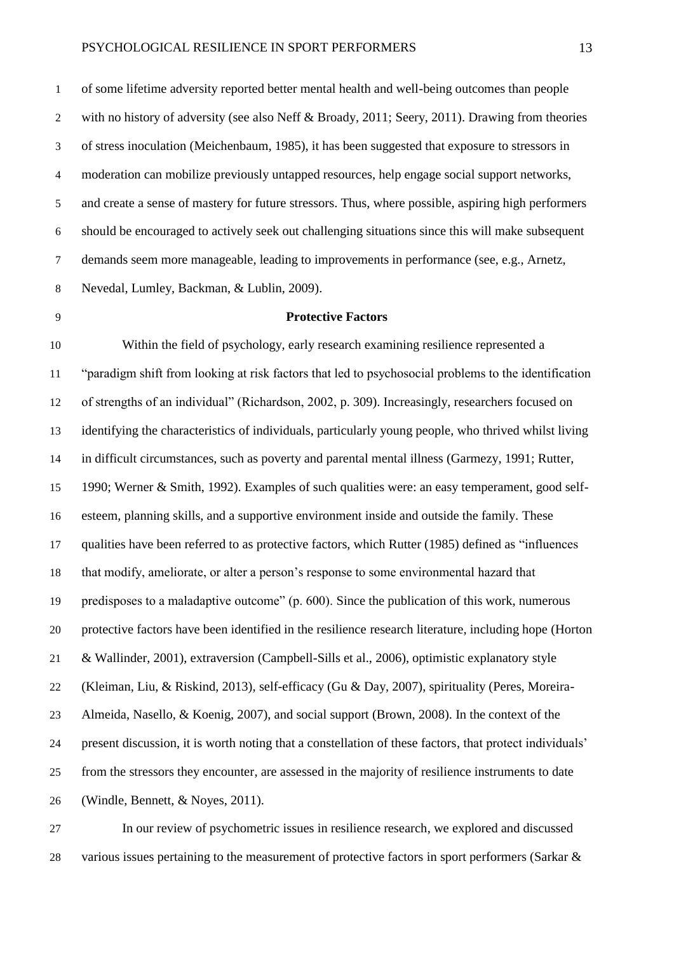of some lifetime adversity reported better mental health and well-being outcomes than people with no history of adversity (see also Neff & Broady, 2011; Seery, 2011). Drawing from theories of stress inoculation (Meichenbaum, 1985), it has been suggested that exposure to stressors in moderation can mobilize previously untapped resources, help engage social support networks, and create a sense of mastery for future stressors. Thus, where possible, aspiring high performers should be encouraged to actively seek out challenging situations since this will make subsequent demands seem more manageable, leading to improvements in performance (see, e.g., Arnetz, Nevedal, Lumley, Backman, & Lublin, 2009).

### **Protective Factors**

 Within the field of psychology, early research examining resilience represented a "paradigm shift from looking at risk factors that led to psychosocial problems to the identification of strengths of an individual" (Richardson, 2002, p. 309). Increasingly, researchers focused on identifying the characteristics of individuals, particularly young people, who thrived whilst living in difficult circumstances, such as poverty and parental mental illness (Garmezy, 1991; Rutter, 1990; Werner & Smith, 1992). Examples of such qualities were: an easy temperament, good self- esteem, planning skills, and a supportive environment inside and outside the family. These qualities have been referred to as protective factors, which Rutter (1985) defined as "influences that modify, ameliorate, or alter a person's response to some environmental hazard that predisposes to a maladaptive outcome" (p. 600). Since the publication of this work, numerous protective factors have been identified in the resilience research literature, including hope (Horton & Wallinder, 2001), extraversion (Campbell-Sills et al., 2006), optimistic explanatory style (Kleiman, Liu, & Riskind, 2013), self-efficacy (Gu & Day, 2007), spirituality (Peres, Moreira- Almeida, Nasello, & Koenig, 2007), and social support (Brown, 2008). In the context of the present discussion, it is worth noting that a constellation of these factors, that protect individuals' from the stressors they encounter, are assessed in the majority of resilience instruments to date (Windle, Bennett, & Noyes, 2011).

 In our review of psychometric issues in resilience research, we explored and discussed 28 various issues pertaining to the measurement of protective factors in sport performers (Sarkar &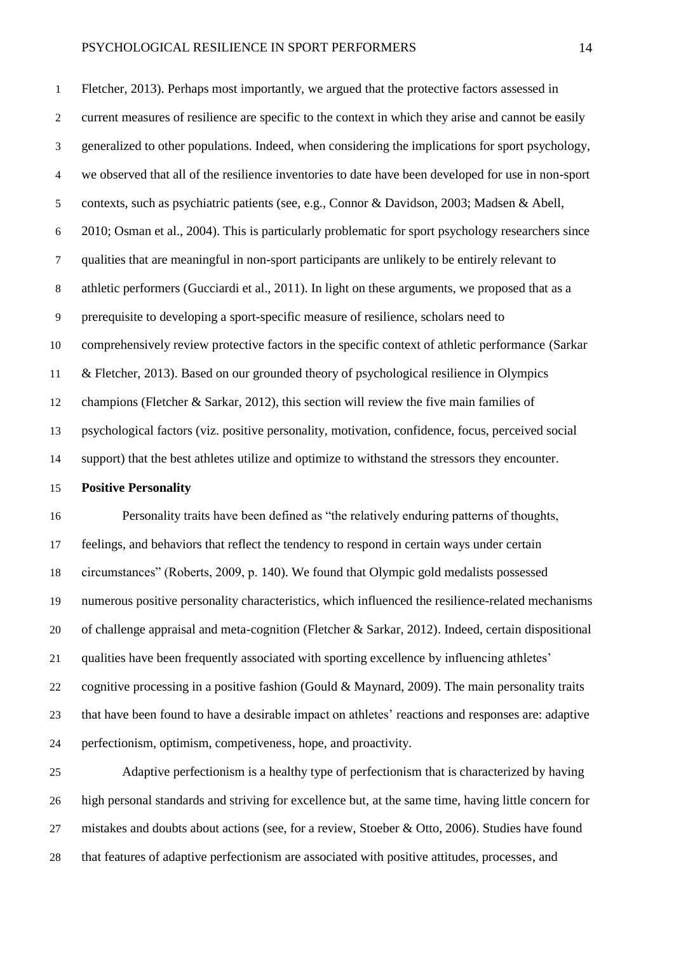Fletcher, 2013). Perhaps most importantly, we argued that the protective factors assessed in current measures of resilience are specific to the context in which they arise and cannot be easily generalized to other populations. Indeed, when considering the implications for sport psychology, we observed that all of the resilience inventories to date have been developed for use in non-sport contexts, such as psychiatric patients (see, e.g., Connor & Davidson, 2003; Madsen & Abell, 2010; Osman et al., 2004). This is particularly problematic for sport psychology researchers since qualities that are meaningful in non-sport participants are unlikely to be entirely relevant to athletic performers (Gucciardi et al., 2011). In light on these arguments, we proposed that as a prerequisite to developing a sport-specific measure of resilience, scholars need to comprehensively review protective factors in the specific context of athletic performance (Sarkar & Fletcher, 2013). Based on our grounded theory of psychological resilience in Olympics champions (Fletcher & Sarkar, 2012), this section will review the five main families of psychological factors (viz. positive personality, motivation, confidence, focus, perceived social support) that the best athletes utilize and optimize to withstand the stressors they encounter.

### **Positive Personality**

 Personality traits have been defined as "the relatively enduring patterns of thoughts, feelings, and behaviors that reflect the tendency to respond in certain ways under certain circumstances" (Roberts, 2009, p. 140). We found that Olympic gold medalists possessed numerous positive personality characteristics, which influenced the resilience-related mechanisms of challenge appraisal and meta-cognition (Fletcher & Sarkar, 2012). Indeed, certain dispositional qualities have been frequently associated with sporting excellence by influencing athletes' cognitive processing in a positive fashion (Gould & Maynard, 2009). The main personality traits that have been found to have a desirable impact on athletes' reactions and responses are: adaptive perfectionism, optimism, competiveness, hope, and proactivity.

 Adaptive perfectionism is a healthy type of perfectionism that is characterized by having high personal standards and striving for excellence but, at the same time, having little concern for mistakes and doubts about actions (see, for a review, Stoeber & Otto, 2006). Studies have found that features of adaptive perfectionism are associated with positive attitudes, processes, and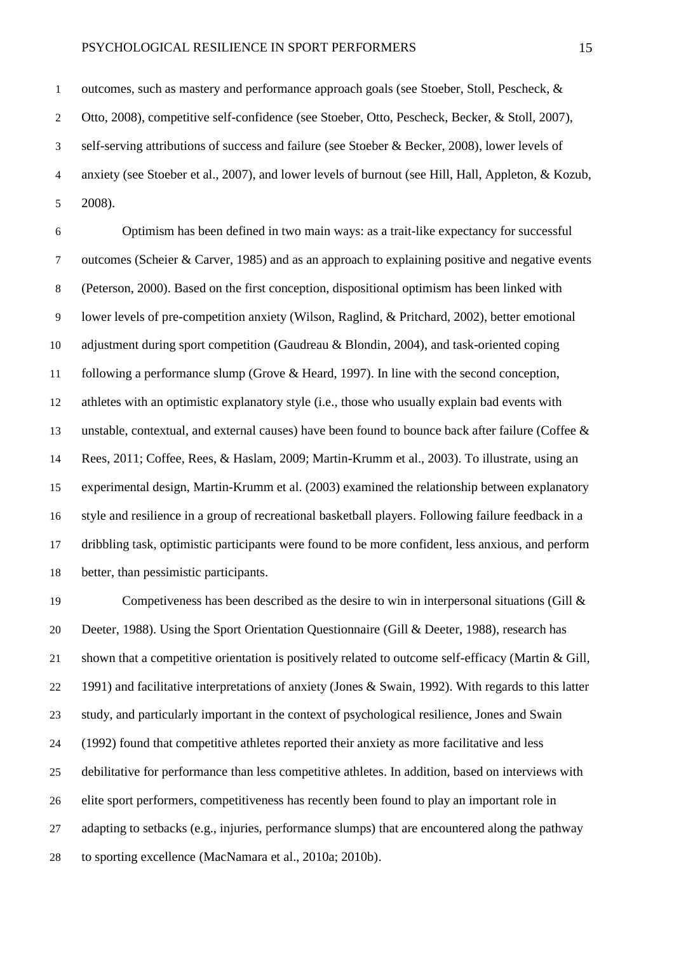outcomes, such as mastery and performance approach goals (see Stoeber, Stoll, Pescheck, & Otto, 2008), competitive self-confidence (see Stoeber, Otto, Pescheck, Becker, & Stoll, 2007), self-serving attributions of success and failure (see Stoeber & Becker, 2008), lower levels of anxiety (see Stoeber et al., 2007), and lower levels of burnout (see Hill, Hall, Appleton, & Kozub, 2008).

 Optimism has been defined in two main ways: as a trait-like expectancy for successful outcomes (Scheier & Carver, 1985) and as an approach to explaining positive and negative events (Peterson, 2000). Based on the first conception, dispositional optimism has been linked with lower levels of pre-competition anxiety (Wilson, Raglind, & Pritchard, 2002), better emotional adjustment during sport competition (Gaudreau & Blondin, 2004), and task-oriented coping following a performance slump (Grove & Heard, 1997). In line with the second conception, athletes with an optimistic explanatory style (i.e., those who usually explain bad events with unstable, contextual, and external causes) have been found to bounce back after failure (Coffee & Rees, 2011; Coffee, Rees, & Haslam, 2009; Martin-Krumm et al., 2003). To illustrate, using an experimental design, Martin-Krumm et al. (2003) examined the relationship between explanatory style and resilience in a group of recreational basketball players. Following failure feedback in a dribbling task, optimistic participants were found to be more confident, less anxious, and perform better, than pessimistic participants.

 Competiveness has been described as the desire to win in interpersonal situations (Gill & Deeter, 1988). Using the Sport Orientation Questionnaire (Gill & Deeter, 1988), research has shown that a competitive orientation is positively related to outcome self-efficacy (Martin & Gill, 1991) and facilitative interpretations of anxiety (Jones & Swain, 1992). With regards to this latter study, and particularly important in the context of psychological resilience, Jones and Swain (1992) found that competitive athletes reported their anxiety as more facilitative and less debilitative for performance than less competitive athletes. In addition, based on interviews with elite sport performers, competitiveness has recently been found to play an important role in adapting to setbacks (e.g., injuries, performance slumps) that are encountered along the pathway to sporting excellence (MacNamara et al., 2010a; 2010b).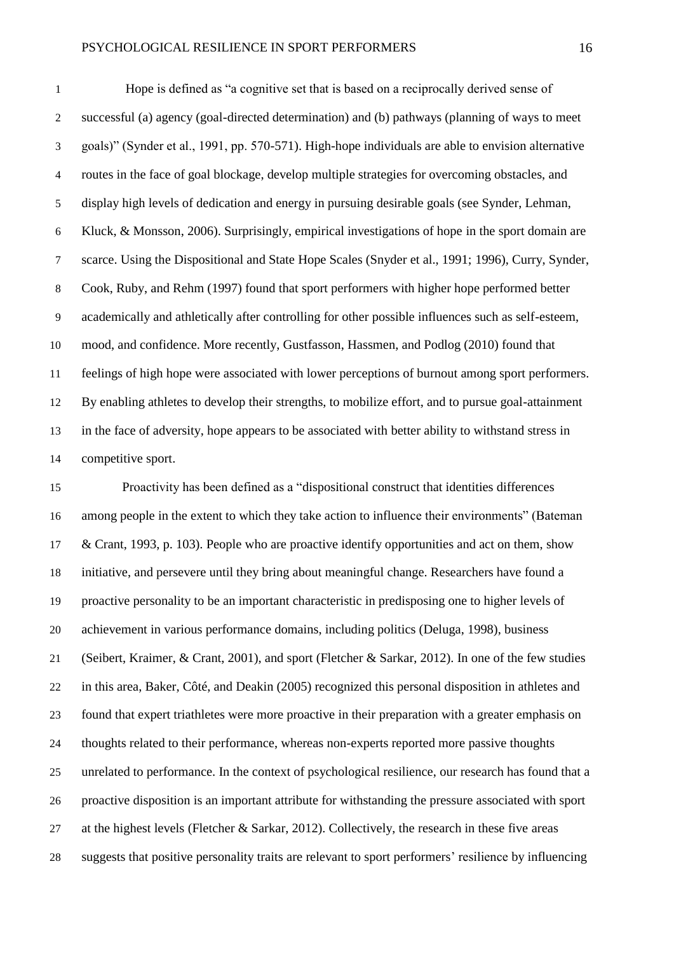Hope is defined as "a cognitive set that is based on a reciprocally derived sense of successful (a) agency (goal-directed determination) and (b) pathways (planning of ways to meet goals)" (Synder et al., 1991, pp. 570-571). High-hope individuals are able to envision alternative routes in the face of goal blockage, develop multiple strategies for overcoming obstacles, and display high levels of dedication and energy in pursuing desirable goals (see Synder, Lehman, Kluck, & Monsson, 2006). Surprisingly, empirical investigations of hope in the sport domain are scarce. Using the Dispositional and State Hope Scales (Snyder et al., 1991; 1996), Curry, Synder, Cook, Ruby, and Rehm (1997) found that sport performers with higher hope performed better academically and athletically after controlling for other possible influences such as self-esteem, mood, and confidence. More recently, Gustfasson, Hassmen, and Podlog (2010) found that feelings of high hope were associated with lower perceptions of burnout among sport performers. By enabling athletes to develop their strengths, to mobilize effort, and to pursue goal-attainment in the face of adversity, hope appears to be associated with better ability to withstand stress in competitive sport.

 Proactivity has been defined as a "dispositional construct that identities differences among people in the extent to which they take action to influence their environments" (Bateman & Crant, 1993, p. 103). People who are proactive identify opportunities and act on them, show initiative, and persevere until they bring about meaningful change. Researchers have found a proactive personality to be an important characteristic in predisposing one to higher levels of achievement in various performance domains, including politics (Deluga, 1998), business (Seibert, Kraimer, & Crant, 2001), and sport (Fletcher & Sarkar, 2012). In one of the few studies in this area, Baker, Côté, and Deakin (2005) recognized this personal disposition in athletes and found that expert triathletes were more proactive in their preparation with a greater emphasis on thoughts related to their performance, whereas non-experts reported more passive thoughts unrelated to performance. In the context of psychological resilience, our research has found that a proactive disposition is an important attribute for withstanding the pressure associated with sport at the highest levels (Fletcher & Sarkar, 2012). Collectively, the research in these five areas suggests that positive personality traits are relevant to sport performers' resilience by influencing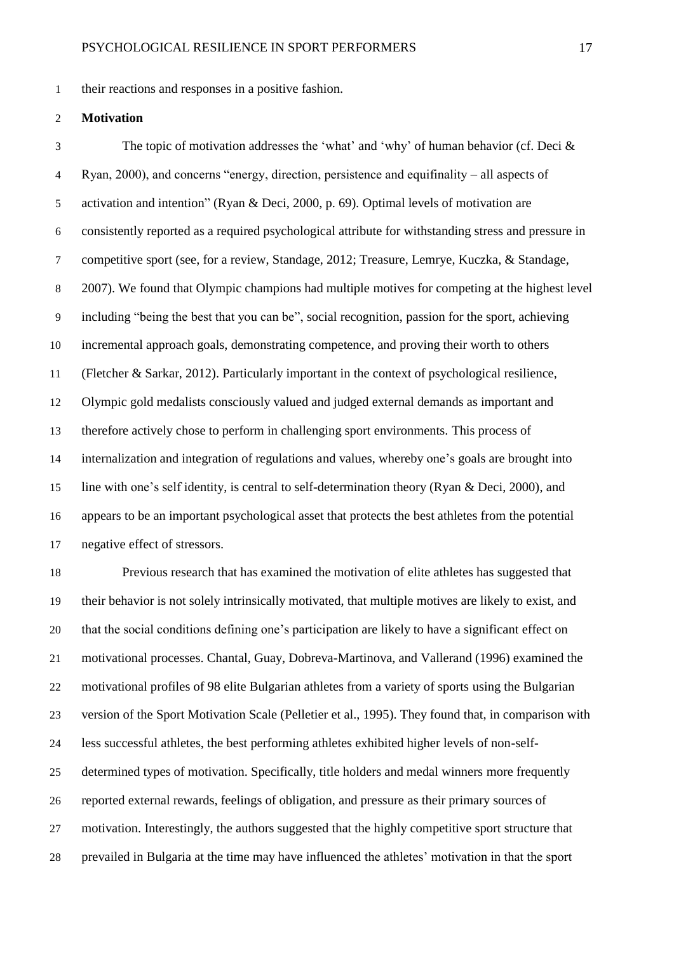their reactions and responses in a positive fashion.

### **Motivation**

 The topic of motivation addresses the 'what' and 'why' of human behavior (cf. Deci & Ryan, 2000), and concerns "energy, direction, persistence and equifinality – all aspects of activation and intention" (Ryan & Deci, 2000, p. 69). Optimal levels of motivation are consistently reported as a required psychological attribute for withstanding stress and pressure in competitive sport (see, for a review, Standage, 2012; Treasure, Lemrye, Kuczka, & Standage, 2007). We found that Olympic champions had multiple motives for competing at the highest level including "being the best that you can be", social recognition, passion for the sport, achieving incremental approach goals, demonstrating competence, and proving their worth to others (Fletcher & Sarkar, 2012). Particularly important in the context of psychological resilience, Olympic gold medalists consciously valued and judged external demands as important and therefore actively chose to perform in challenging sport environments. This process of internalization and integration of regulations and values, whereby one's goals are brought into line with one's self identity, is central to self-determination theory (Ryan & Deci, 2000), and appears to be an important psychological asset that protects the best athletes from the potential negative effect of stressors.

 Previous research that has examined the motivation of elite athletes has suggested that their behavior is not solely intrinsically motivated, that multiple motives are likely to exist, and that the social conditions defining one's participation are likely to have a significant effect on motivational processes. Chantal, Guay, Dobreva-Martinova, and Vallerand (1996) examined the motivational profiles of 98 elite Bulgarian athletes from a variety of sports using the Bulgarian version of the Sport Motivation Scale (Pelletier et al., 1995). They found that, in comparison with less successful athletes, the best performing athletes exhibited higher levels of non-self- determined types of motivation. Specifically, title holders and medal winners more frequently reported external rewards, feelings of obligation, and pressure as their primary sources of motivation. Interestingly, the authors suggested that the highly competitive sport structure that prevailed in Bulgaria at the time may have influenced the athletes' motivation in that the sport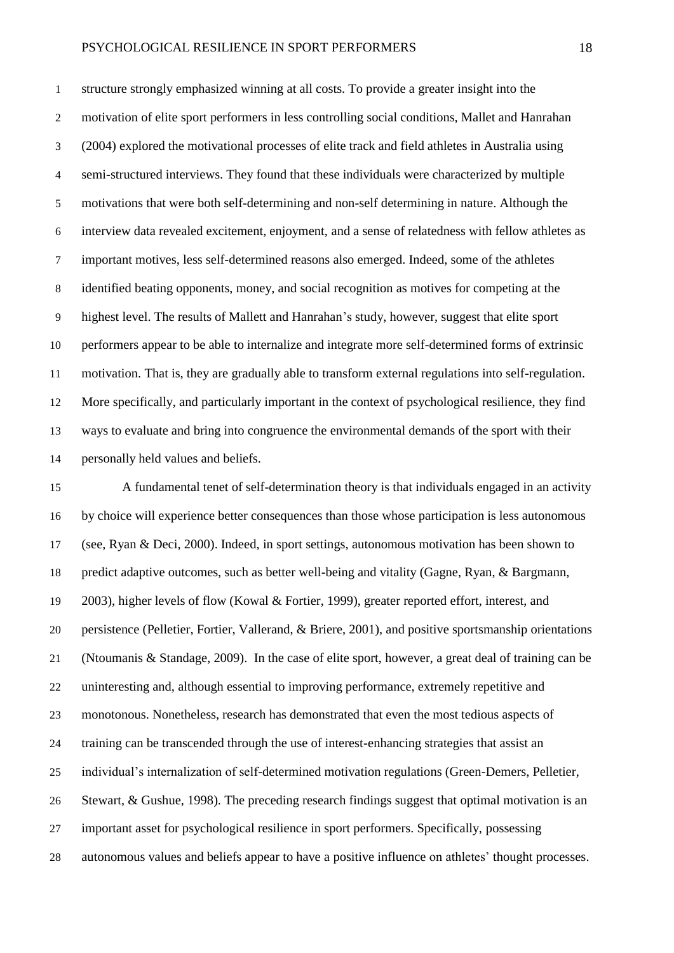structure strongly emphasized winning at all costs. To provide a greater insight into the motivation of elite sport performers in less controlling social conditions, Mallet and Hanrahan (2004) explored the motivational processes of elite track and field athletes in Australia using semi-structured interviews. They found that these individuals were characterized by multiple motivations that were both self-determining and non-self determining in nature. Although the interview data revealed excitement, enjoyment, and a sense of relatedness with fellow athletes as important motives, less self-determined reasons also emerged. Indeed, some of the athletes identified beating opponents, money, and social recognition as motives for competing at the highest level. The results of Mallett and Hanrahan's study, however, suggest that elite sport performers appear to be able to internalize and integrate more self-determined forms of extrinsic motivation. That is, they are gradually able to transform external regulations into self-regulation. More specifically, and particularly important in the context of psychological resilience, they find ways to evaluate and bring into congruence the environmental demands of the sport with their personally held values and beliefs.

 A fundamental tenet of self-determination theory is that individuals engaged in an activity by choice will experience better consequences than those whose participation is less autonomous (see, Ryan & Deci, 2000). Indeed, in sport settings, autonomous motivation has been shown to predict adaptive outcomes, such as better well-being and vitality (Gagne, Ryan, & Bargmann, 2003), higher levels of flow (Kowal & Fortier, 1999), greater reported effort, interest, and persistence (Pelletier, Fortier, Vallerand, & Briere, 2001), and positive sportsmanship orientations (Ntoumanis & Standage, 2009). In the case of elite sport, however, a great deal of training can be uninteresting and, although essential to improving performance, extremely repetitive and monotonous. Nonetheless, research has demonstrated that even the most tedious aspects of training can be transcended through the use of interest-enhancing strategies that assist an individual's internalization of self-determined motivation regulations (Green-Demers, Pelletier, Stewart, & Gushue, 1998). The preceding research findings suggest that optimal motivation is an important asset for psychological resilience in sport performers. Specifically, possessing autonomous values and beliefs appear to have a positive influence on athletes' thought processes.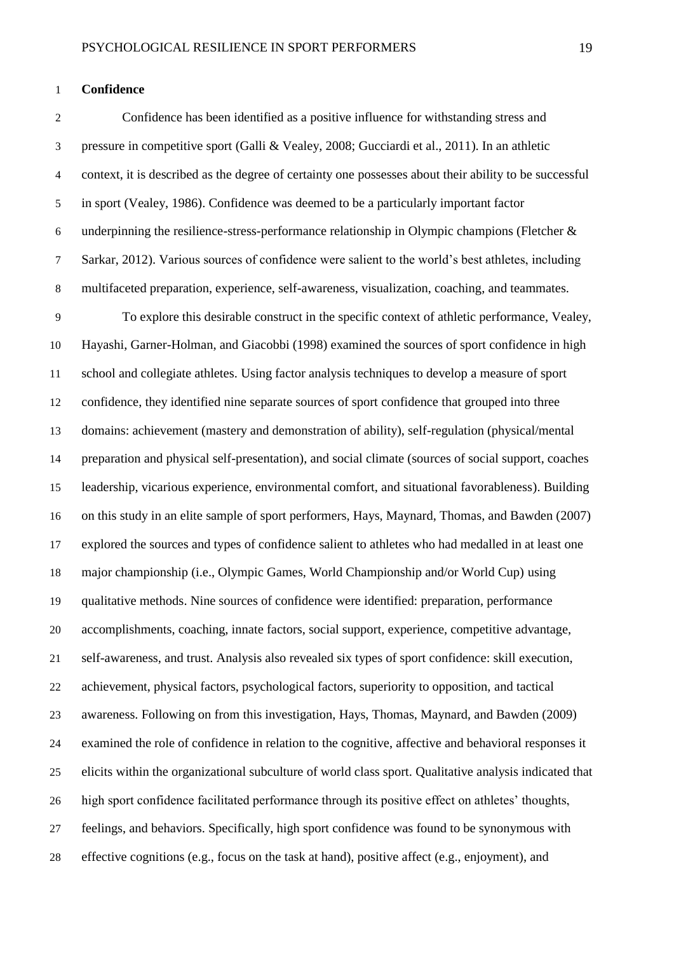#### **Confidence**

 Confidence has been identified as a positive influence for withstanding stress and pressure in competitive sport (Galli & Vealey, 2008; Gucciardi et al., 2011). In an athletic context, it is described as the degree of certainty one possesses about their ability to be successful in sport (Vealey, 1986). Confidence was deemed to be a particularly important factor 6 underpinning the resilience-stress-performance relationship in Olympic champions (Fletcher  $\&$  Sarkar, 2012). Various sources of confidence were salient to the world's best athletes, including multifaceted preparation, experience, self-awareness, visualization, coaching, and teammates. To explore this desirable construct in the specific context of athletic performance, Vealey, Hayashi, Garner-Holman, and Giacobbi (1998) examined the sources of sport confidence in high school and collegiate athletes. Using factor analysis techniques to develop a measure of sport confidence, they identified nine separate sources of sport confidence that grouped into three domains: achievement (mastery and demonstration of ability), self-regulation (physical/mental preparation and physical self-presentation), and social climate (sources of social support, coaches leadership, vicarious experience, environmental comfort, and situational favorableness). Building on this study in an elite sample of sport performers, Hays, Maynard, Thomas, and Bawden (2007) explored the sources and types of confidence salient to athletes who had medalled in at least one major championship (i.e., Olympic Games, World Championship and/or World Cup) using qualitative methods. Nine sources of confidence were identified: preparation, performance accomplishments, coaching, innate factors, social support, experience, competitive advantage, self-awareness, and trust. Analysis also revealed six types of sport confidence: skill execution, achievement, physical factors, psychological factors, superiority to opposition, and tactical awareness. Following on from this investigation, Hays, Thomas, Maynard, and Bawden (2009) examined the role of confidence in relation to the cognitive, affective and behavioral responses it elicits within the organizational subculture of world class sport. Qualitative analysis indicated that

high sport confidence facilitated performance through its positive effect on athletes' thoughts,

feelings, and behaviors. Specifically, high sport confidence was found to be synonymous with

effective cognitions (e.g., focus on the task at hand), positive affect (e.g., enjoyment), and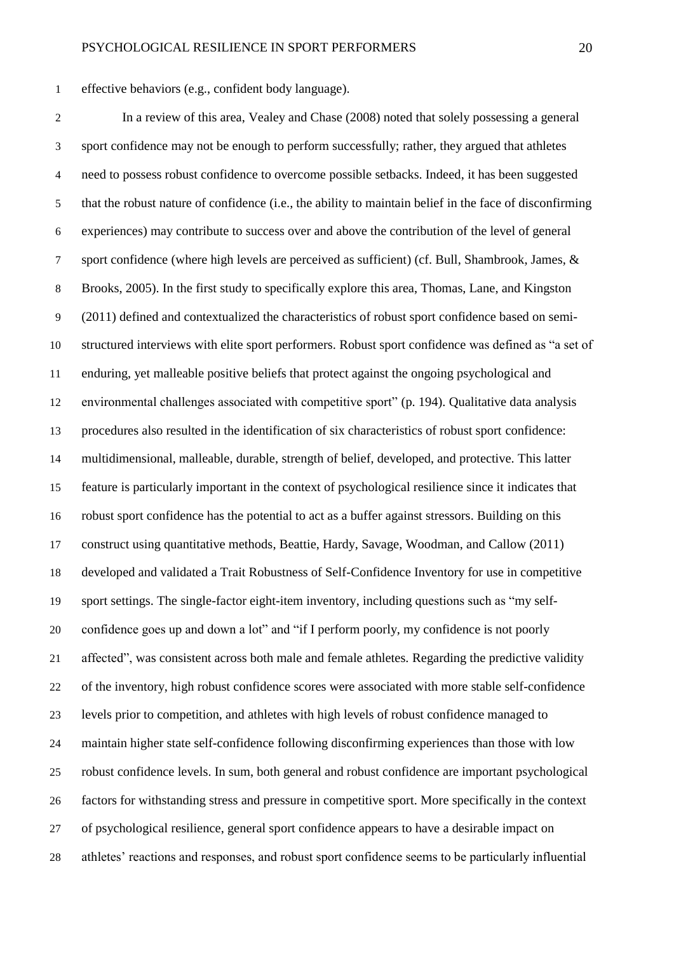effective behaviors (e.g., confident body language).

 In a review of this area, Vealey and Chase (2008) noted that solely possessing a general sport confidence may not be enough to perform successfully; rather, they argued that athletes need to possess robust confidence to overcome possible setbacks. Indeed, it has been suggested that the robust nature of confidence (i.e., the ability to maintain belief in the face of disconfirming experiences) may contribute to success over and above the contribution of the level of general sport confidence (where high levels are perceived as sufficient) (cf. Bull, Shambrook, James, & Brooks, 2005). In the first study to specifically explore this area, Thomas, Lane, and Kingston (2011) defined and contextualized the characteristics of robust sport confidence based on semi- structured interviews with elite sport performers. Robust sport confidence was defined as "a set of enduring, yet malleable positive beliefs that protect against the ongoing psychological and environmental challenges associated with competitive sport" (p. 194). Qualitative data analysis procedures also resulted in the identification of six characteristics of robust sport confidence: multidimensional, malleable, durable, strength of belief, developed, and protective. This latter feature is particularly important in the context of psychological resilience since it indicates that robust sport confidence has the potential to act as a buffer against stressors. Building on this construct using quantitative methods, Beattie, Hardy, Savage, Woodman, and Callow (2011) developed and validated a Trait Robustness of Self-Confidence Inventory for use in competitive sport settings. The single-factor eight-item inventory, including questions such as "my self- confidence goes up and down a lot" and "if I perform poorly, my confidence is not poorly affected", was consistent across both male and female athletes. Regarding the predictive validity of the inventory, high robust confidence scores were associated with more stable self-confidence levels prior to competition, and athletes with high levels of robust confidence managed to maintain higher state self-confidence following disconfirming experiences than those with low robust confidence levels. In sum, both general and robust confidence are important psychological factors for withstanding stress and pressure in competitive sport. More specifically in the context of psychological resilience, general sport confidence appears to have a desirable impact on athletes' reactions and responses, and robust sport confidence seems to be particularly influential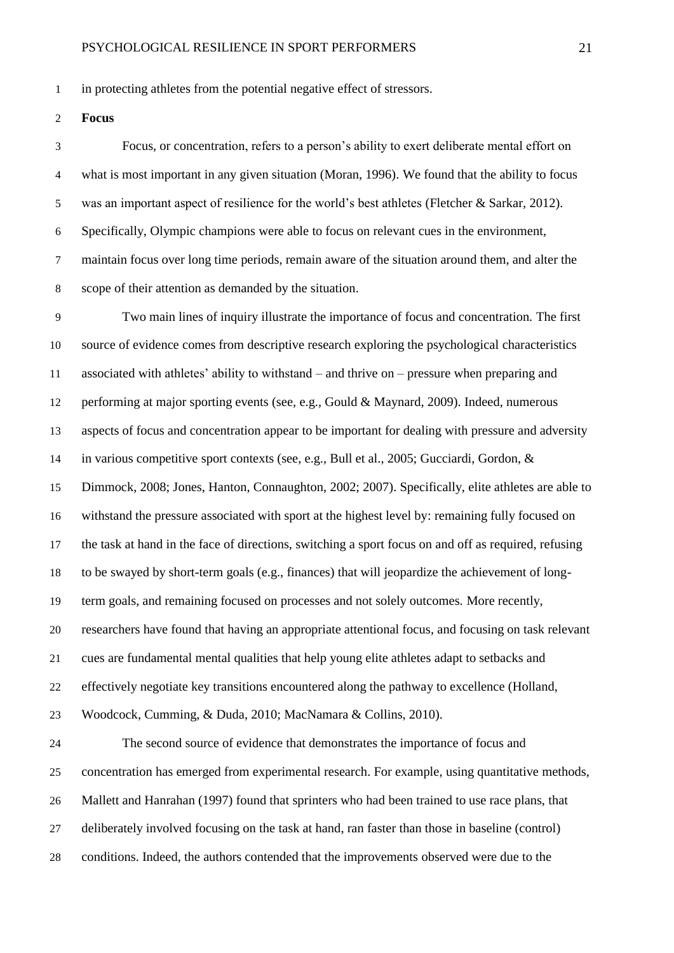in protecting athletes from the potential negative effect of stressors.

**Focus**

 Focus, or concentration, refers to a person's ability to exert deliberate mental effort on what is most important in any given situation (Moran, 1996). We found that the ability to focus was an important aspect of resilience for the world's best athletes (Fletcher & Sarkar, 2012). Specifically, Olympic champions were able to focus on relevant cues in the environment, maintain focus over long time periods, remain aware of the situation around them, and alter the scope of their attention as demanded by the situation.

 Two main lines of inquiry illustrate the importance of focus and concentration. The first source of evidence comes from descriptive research exploring the psychological characteristics associated with athletes' ability to withstand – and thrive on – pressure when preparing and performing at major sporting events (see, e.g., Gould & Maynard, 2009). Indeed, numerous aspects of focus and concentration appear to be important for dealing with pressure and adversity in various competitive sport contexts (see, e.g., Bull et al., 2005; Gucciardi, Gordon, & Dimmock, 2008; Jones, Hanton, Connaughton, 2002; 2007). Specifically, elite athletes are able to withstand the pressure associated with sport at the highest level by: remaining fully focused on the task at hand in the face of directions, switching a sport focus on and off as required, refusing to be swayed by short-term goals (e.g., finances) that will jeopardize the achievement of long- term goals, and remaining focused on processes and not solely outcomes. More recently, researchers have found that having an appropriate attentional focus, and focusing on task relevant cues are fundamental mental qualities that help young elite athletes adapt to setbacks and effectively negotiate key transitions encountered along the pathway to excellence (Holland, Woodcock, Cumming, & Duda, 2010; MacNamara & Collins, 2010). The second source of evidence that demonstrates the importance of focus and

 concentration has emerged from experimental research. For example, using quantitative methods, Mallett and Hanrahan (1997) found that sprinters who had been trained to use race plans, that deliberately involved focusing on the task at hand, ran faster than those in baseline (control) conditions. Indeed, the authors contended that the improvements observed were due to the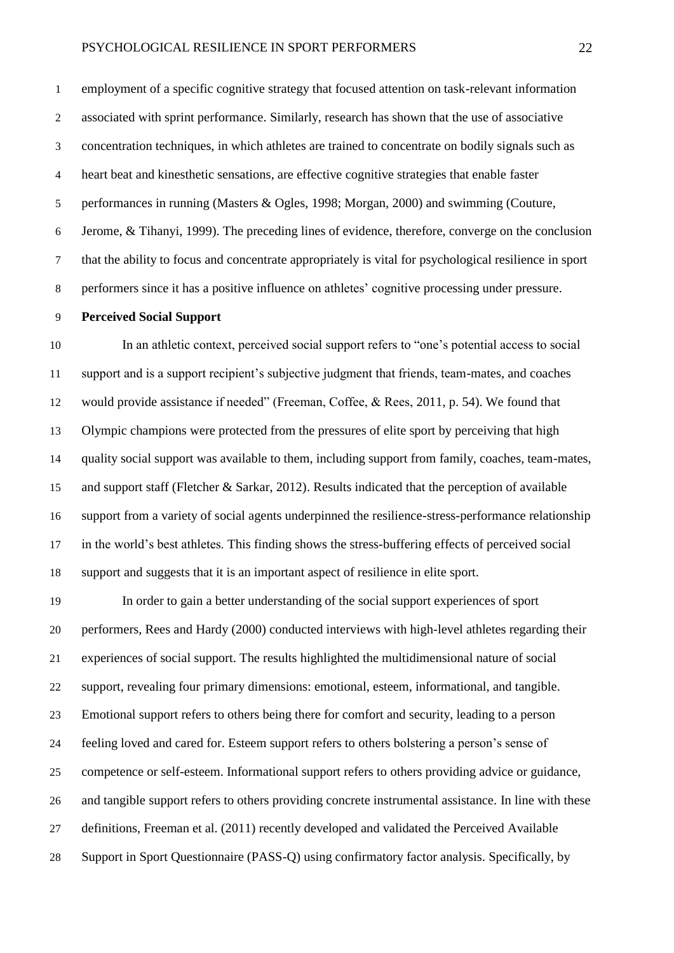employment of a specific cognitive strategy that focused attention on task-relevant information associated with sprint performance. Similarly, research has shown that the use of associative concentration techniques, in which athletes are trained to concentrate on bodily signals such as heart beat and kinesthetic sensations, are effective cognitive strategies that enable faster performances in running (Masters & Ogles, 1998; Morgan, 2000) and swimming (Couture, Jerome, & Tihanyi, 1999). The preceding lines of evidence, therefore, converge on the conclusion that the ability to focus and concentrate appropriately is vital for psychological resilience in sport performers since it has a positive influence on athletes' cognitive processing under pressure.

# **Perceived Social Support**

 In an athletic context, perceived social support refers to "one's potential access to social support and is a support recipient's subjective judgment that friends, team-mates, and coaches would provide assistance if needed" (Freeman, Coffee, & Rees, 2011, p. 54). We found that Olympic champions were protected from the pressures of elite sport by perceiving that high quality social support was available to them, including support from family, coaches, team-mates, and support staff (Fletcher & Sarkar, 2012). Results indicated that the perception of available support from a variety of social agents underpinned the resilience-stress-performance relationship in the world's best athletes. This finding shows the stress-buffering effects of perceived social support and suggests that it is an important aspect of resilience in elite sport.

 In order to gain a better understanding of the social support experiences of sport performers, Rees and Hardy (2000) conducted interviews with high-level athletes regarding their experiences of social support. The results highlighted the multidimensional nature of social support, revealing four primary dimensions: emotional, esteem, informational, and tangible. Emotional support refers to others being there for comfort and security, leading to a person feeling loved and cared for. Esteem support refers to others bolstering a person's sense of competence or self-esteem. Informational support refers to others providing advice or guidance, and tangible support refers to others providing concrete instrumental assistance. In line with these definitions, Freeman et al. (2011) recently developed and validated the Perceived Available Support in Sport Questionnaire (PASS-Q) using confirmatory factor analysis. Specifically, by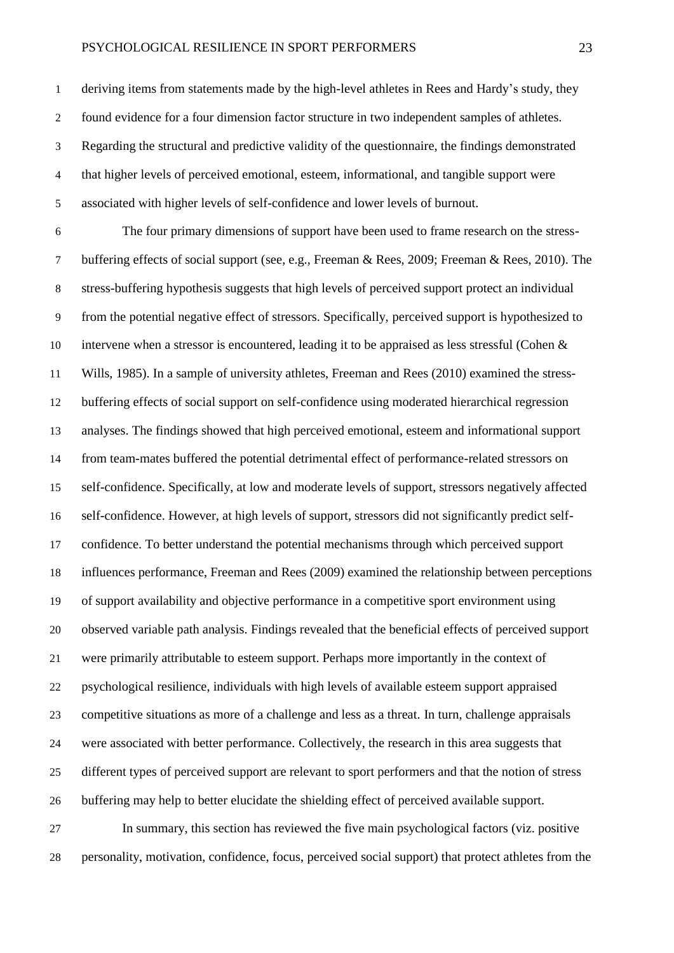deriving items from statements made by the high-level athletes in Rees and Hardy's study, they found evidence for a four dimension factor structure in two independent samples of athletes. Regarding the structural and predictive validity of the questionnaire, the findings demonstrated that higher levels of perceived emotional, esteem, informational, and tangible support were associated with higher levels of self-confidence and lower levels of burnout.

 The four primary dimensions of support have been used to frame research on the stress- buffering effects of social support (see, e.g., Freeman & Rees, 2009; Freeman & Rees, 2010). The stress-buffering hypothesis suggests that high levels of perceived support protect an individual from the potential negative effect of stressors. Specifically, perceived support is hypothesized to intervene when a stressor is encountered, leading it to be appraised as less stressful (Cohen & Wills, 1985). In a sample of university athletes, Freeman and Rees (2010) examined the stress- buffering effects of social support on self-confidence using moderated hierarchical regression analyses. The findings showed that high perceived emotional, esteem and informational support from team-mates buffered the potential detrimental effect of performance-related stressors on self-confidence. Specifically, at low and moderate levels of support, stressors negatively affected self-confidence. However, at high levels of support, stressors did not significantly predict self- confidence. To better understand the potential mechanisms through which perceived support influences performance, Freeman and Rees (2009) examined the relationship between perceptions of support availability and objective performance in a competitive sport environment using observed variable path analysis. Findings revealed that the beneficial effects of perceived support were primarily attributable to esteem support. Perhaps more importantly in the context of psychological resilience, individuals with high levels of available esteem support appraised competitive situations as more of a challenge and less as a threat. In turn, challenge appraisals were associated with better performance. Collectively, the research in this area suggests that different types of perceived support are relevant to sport performers and that the notion of stress buffering may help to better elucidate the shielding effect of perceived available support. In summary, this section has reviewed the five main psychological factors (viz. positive

personality, motivation, confidence, focus, perceived social support) that protect athletes from the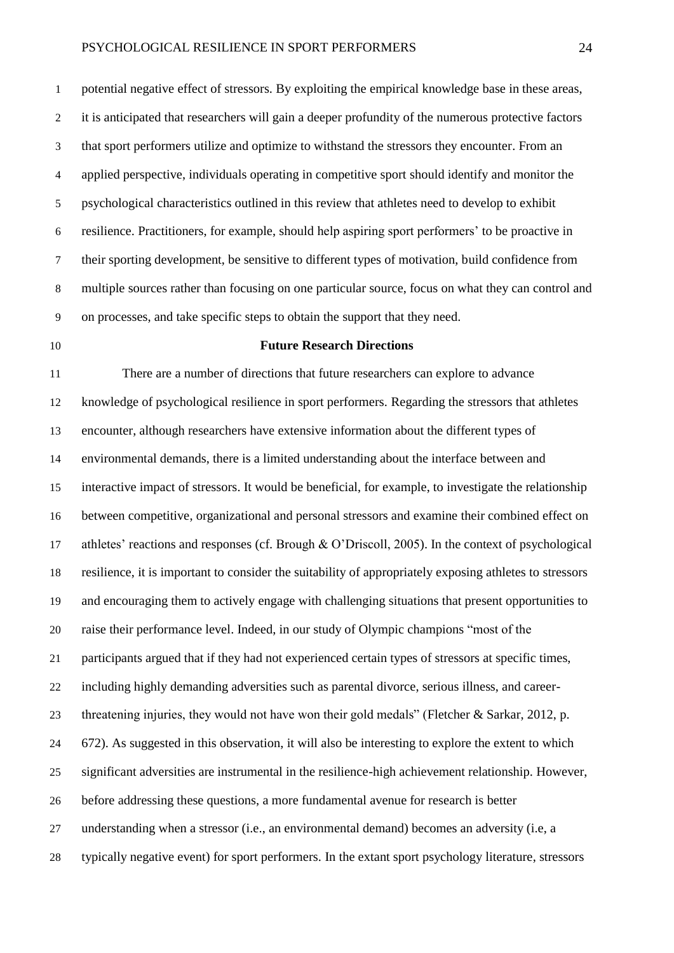potential negative effect of stressors. By exploiting the empirical knowledge base in these areas, it is anticipated that researchers will gain a deeper profundity of the numerous protective factors that sport performers utilize and optimize to withstand the stressors they encounter. From an applied perspective, individuals operating in competitive sport should identify and monitor the psychological characteristics outlined in this review that athletes need to develop to exhibit resilience. Practitioners, for example, should help aspiring sport performers' to be proactive in their sporting development, be sensitive to different types of motivation, build confidence from multiple sources rather than focusing on one particular source, focus on what they can control and on processes, and take specific steps to obtain the support that they need.

### **Future Research Directions**

 There are a number of directions that future researchers can explore to advance knowledge of psychological resilience in sport performers. Regarding the stressors that athletes encounter, although researchers have extensive information about the different types of environmental demands, there is a limited understanding about the interface between and interactive impact of stressors. It would be beneficial, for example, to investigate the relationship between competitive, organizational and personal stressors and examine their combined effect on athletes' reactions and responses (cf. Brough & O'Driscoll, 2005). In the context of psychological resilience, it is important to consider the suitability of appropriately exposing athletes to stressors and encouraging them to actively engage with challenging situations that present opportunities to raise their performance level. Indeed, in our study of Olympic champions "most of the participants argued that if they had not experienced certain types of stressors at specific times, including highly demanding adversities such as parental divorce, serious illness, and career- threatening injuries, they would not have won their gold medals" (Fletcher & Sarkar, 2012, p. 672). As suggested in this observation, it will also be interesting to explore the extent to which significant adversities are instrumental in the resilience-high achievement relationship. However, before addressing these questions, a more fundamental avenue for research is better understanding when a stressor (i.e., an environmental demand) becomes an adversity (i.e, a typically negative event) for sport performers. In the extant sport psychology literature, stressors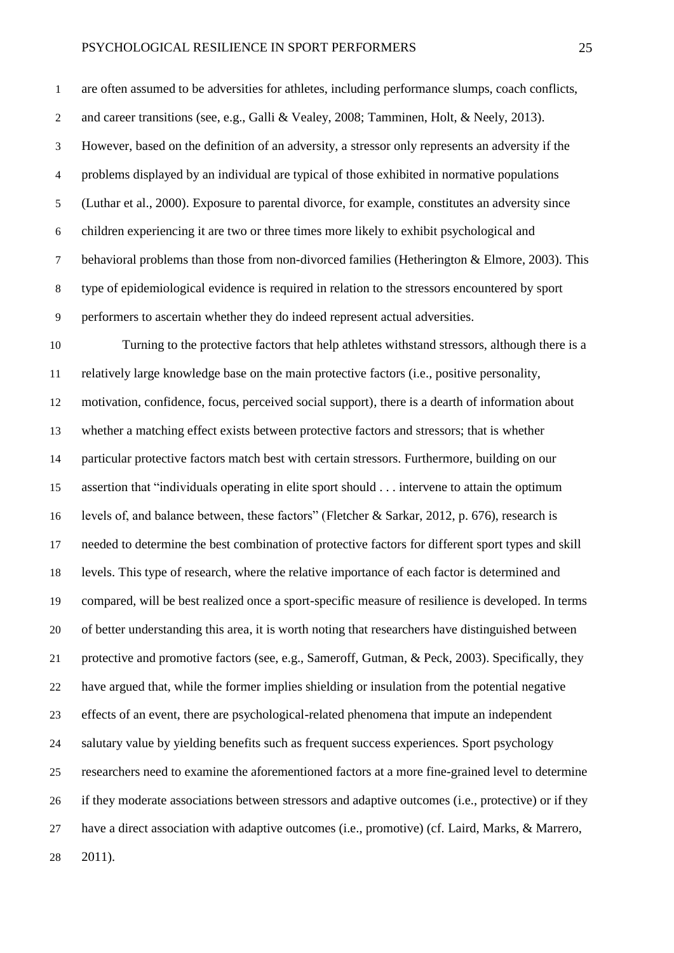are often assumed to be adversities for athletes, including performance slumps, coach conflicts, and career transitions (see, e.g., Galli & Vealey, 2008; Tamminen, Holt, & Neely, 2013). However, based on the definition of an adversity, a stressor only represents an adversity if the problems displayed by an individual are typical of those exhibited in normative populations (Luthar et al., 2000). Exposure to parental divorce, for example, constitutes an adversity since children experiencing it are two or three times more likely to exhibit psychological and behavioral problems than those from non-divorced families (Hetherington & Elmore, 2003). This type of epidemiological evidence is required in relation to the stressors encountered by sport performers to ascertain whether they do indeed represent actual adversities.

 Turning to the protective factors that help athletes withstand stressors, although there is a relatively large knowledge base on the main protective factors (i.e., positive personality, motivation, confidence, focus, perceived social support), there is a dearth of information about whether a matching effect exists between protective factors and stressors; that is whether particular protective factors match best with certain stressors. Furthermore, building on our assertion that "individuals operating in elite sport should . . . intervene to attain the optimum levels of, and balance between, these factors" (Fletcher & Sarkar, 2012, p. 676), research is needed to determine the best combination of protective factors for different sport types and skill levels. This type of research, where the relative importance of each factor is determined and compared, will be best realized once a sport-specific measure of resilience is developed. In terms of better understanding this area, it is worth noting that researchers have distinguished between protective and promotive factors (see, e.g., Sameroff, Gutman, & Peck, 2003). Specifically, they have argued that, while the former implies shielding or insulation from the potential negative effects of an event, there are psychological-related phenomena that impute an independent salutary value by yielding benefits such as frequent success experiences. Sport psychology researchers need to examine the aforementioned factors at a more fine-grained level to determine if they moderate associations between stressors and adaptive outcomes (i.e., protective) or if they have a direct association with adaptive outcomes (i.e., promotive) (cf. Laird, Marks, & Marrero, 2011).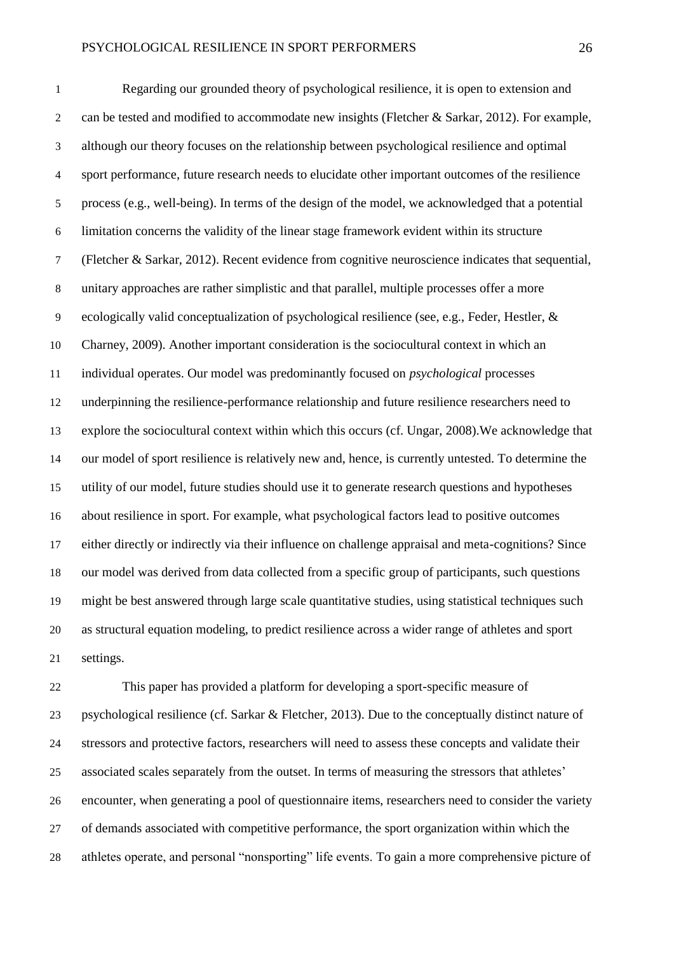Regarding our grounded theory of psychological resilience, it is open to extension and can be tested and modified to accommodate new insights (Fletcher & Sarkar, 2012). For example, although our theory focuses on the relationship between psychological resilience and optimal sport performance, future research needs to elucidate other important outcomes of the resilience process (e.g., well-being). In terms of the design of the model, we acknowledged that a potential limitation concerns the validity of the linear stage framework evident within its structure (Fletcher & Sarkar, 2012). Recent evidence from cognitive neuroscience indicates that sequential, unitary approaches are rather simplistic and that parallel, multiple processes offer a more ecologically valid conceptualization of psychological resilience (see, e.g., Feder, Hestler, & Charney, 2009). Another important consideration is the sociocultural context in which an individual operates. Our model was predominantly focused on *psychological* processes underpinning the resilience-performance relationship and future resilience researchers need to explore the sociocultural context within which this occurs (cf. Ungar, 2008).We acknowledge that our model of sport resilience is relatively new and, hence, is currently untested. To determine the utility of our model, future studies should use it to generate research questions and hypotheses about resilience in sport. For example, what psychological factors lead to positive outcomes either directly or indirectly via their influence on challenge appraisal and meta-cognitions? Since our model was derived from data collected from a specific group of participants, such questions might be best answered through large scale quantitative studies, using statistical techniques such as structural equation modeling, to predict resilience across a wider range of athletes and sport settings.

 This paper has provided a platform for developing a sport-specific measure of psychological resilience (cf. Sarkar & Fletcher, 2013). Due to the conceptually distinct nature of stressors and protective factors, researchers will need to assess these concepts and validate their associated scales separately from the outset. In terms of measuring the stressors that athletes' encounter, when generating a pool of questionnaire items, researchers need to consider the variety of demands associated with competitive performance, the sport organization within which the athletes operate, and personal "nonsporting" life events. To gain a more comprehensive picture of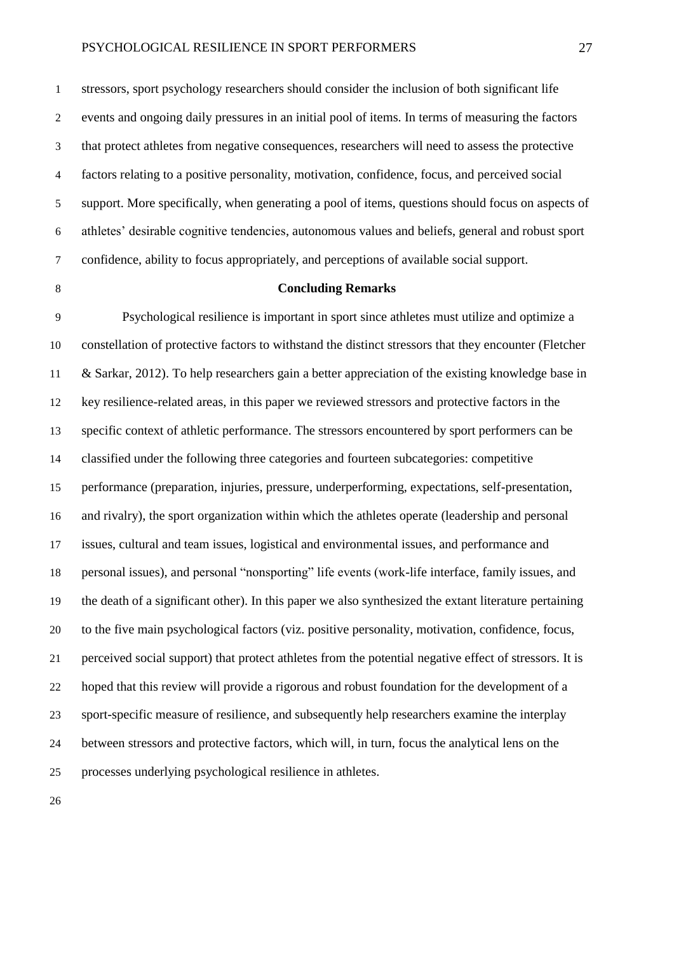stressors, sport psychology researchers should consider the inclusion of both significant life events and ongoing daily pressures in an initial pool of items. In terms of measuring the factors that protect athletes from negative consequences, researchers will need to assess the protective factors relating to a positive personality, motivation, confidence, focus, and perceived social support. More specifically, when generating a pool of items, questions should focus on aspects of athletes' desirable cognitive tendencies, autonomous values and beliefs, general and robust sport confidence, ability to focus appropriately, and perceptions of available social support.

# **Concluding Remarks**

 Psychological resilience is important in sport since athletes must utilize and optimize a constellation of protective factors to withstand the distinct stressors that they encounter (Fletcher & Sarkar, 2012). To help researchers gain a better appreciation of the existing knowledge base in key resilience-related areas, in this paper we reviewed stressors and protective factors in the specific context of athletic performance. The stressors encountered by sport performers can be classified under the following three categories and fourteen subcategories: competitive performance (preparation, injuries, pressure, underperforming, expectations, self-presentation, and rivalry), the sport organization within which the athletes operate (leadership and personal issues, cultural and team issues, logistical and environmental issues, and performance and personal issues), and personal "nonsporting" life events (work-life interface, family issues, and the death of a significant other). In this paper we also synthesized the extant literature pertaining to the five main psychological factors (viz. positive personality, motivation, confidence, focus, perceived social support) that protect athletes from the potential negative effect of stressors. It is hoped that this review will provide a rigorous and robust foundation for the development of a sport-specific measure of resilience, and subsequently help researchers examine the interplay between stressors and protective factors, which will, in turn, focus the analytical lens on the processes underlying psychological resilience in athletes.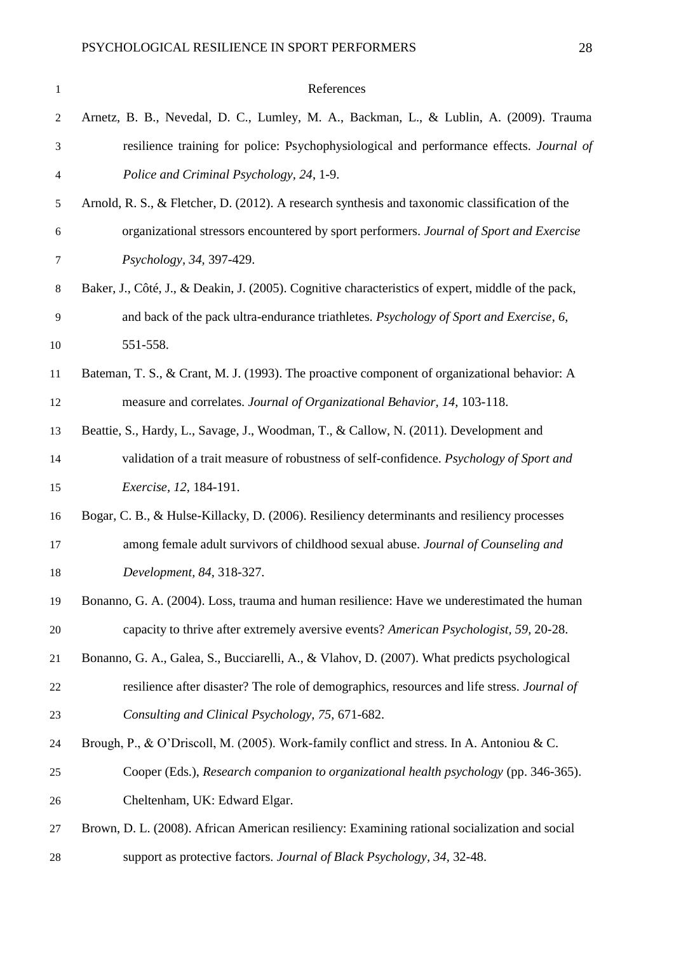| 1                        | References                                                                                         |
|--------------------------|----------------------------------------------------------------------------------------------------|
| $\overline{c}$           | Arnetz, B. B., Nevedal, D. C., Lumley, M. A., Backman, L., & Lublin, A. (2009). Trauma             |
| 3                        | resilience training for police: Psychophysiological and performance effects. Journal of            |
| $\overline{\mathcal{A}}$ | Police and Criminal Psychology, 24, 1-9.                                                           |
| 5                        | Arnold, R. S., & Fletcher, D. (2012). A research synthesis and taxonomic classification of the     |
| $\boldsymbol{6}$         | organizational stressors encountered by sport performers. Journal of Sport and Exercise            |
| 7                        | Psychology, 34, 397-429.                                                                           |
| $\,8$                    | Baker, J., Côté, J., & Deakin, J. (2005). Cognitive characteristics of expert, middle of the pack, |
| $\mathbf{9}$             | and back of the pack ultra-endurance triathletes. Psychology of Sport and Exercise, 6,             |
| 10                       | 551-558.                                                                                           |
| 11                       | Bateman, T. S., & Crant, M. J. (1993). The proactive component of organizational behavior: A       |
| 12                       | measure and correlates. Journal of Organizational Behavior, 14, 103-118.                           |
| 13                       | Beattie, S., Hardy, L., Savage, J., Woodman, T., & Callow, N. (2011). Development and              |
| 14                       | validation of a trait measure of robustness of self-confidence. Psychology of Sport and            |
| 15                       | <i>Exercise, 12, 184-191.</i>                                                                      |
| 16                       | Bogar, C. B., & Hulse-Killacky, D. (2006). Resiliency determinants and resiliency processes        |
| 17                       | among female adult survivors of childhood sexual abuse. Journal of Counseling and                  |
| 18                       | Development, 84, 318-327.                                                                          |
| 19                       | Bonanno, G. A. (2004). Loss, trauma and human resilience: Have we underestimated the human         |
| 20                       | capacity to thrive after extremely aversive events? American Psychologist, 59, 20-28.              |
| 21                       | Bonanno, G. A., Galea, S., Bucciarelli, A., & Vlahov, D. (2007). What predicts psychological       |
| 22                       | resilience after disaster? The role of demographics, resources and life stress. <i>Journal of</i>  |
| 23                       | Consulting and Clinical Psychology, 75, 671-682.                                                   |
| 24                       | Brough, P., & O'Driscoll, M. (2005). Work-family conflict and stress. In A. Antoniou & C.          |
| 25                       | Cooper (Eds.), Research companion to organizational health psychology (pp. 346-365).               |
| 26                       | Cheltenham, UK: Edward Elgar.                                                                      |
| 27                       | Brown, D. L. (2008). African American resiliency: Examining rational socialization and social      |
| 28                       | support as protective factors. Journal of Black Psychology, 34, 32-48.                             |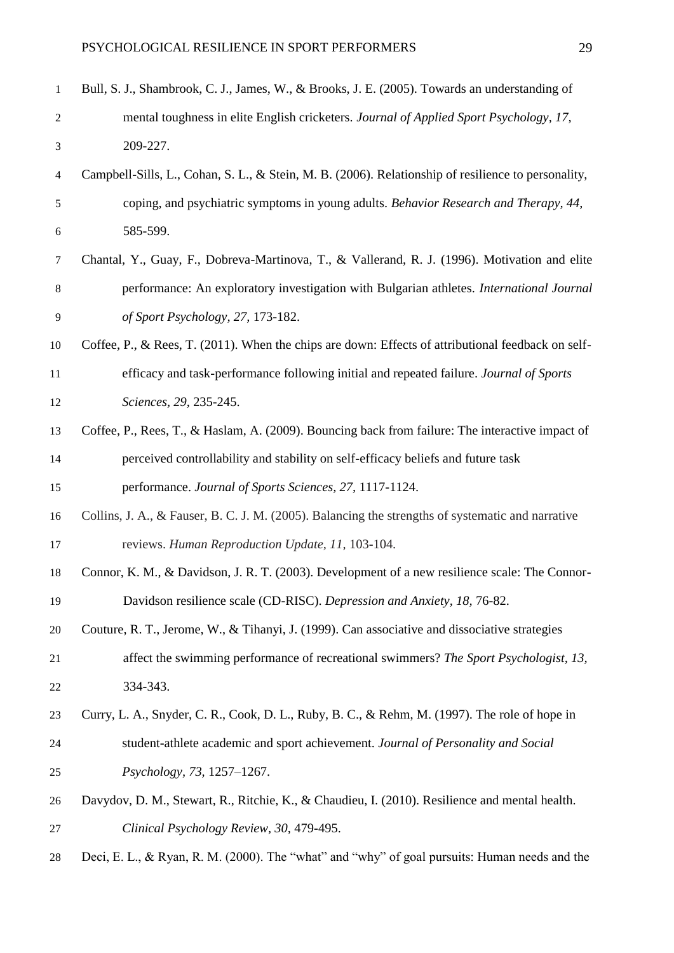| $\mathbf{1}$             | Bull, S. J., Shambrook, C. J., James, W., & Brooks, J. E. (2005). Towards an understanding of       |
|--------------------------|-----------------------------------------------------------------------------------------------------|
| $\overline{c}$           | mental toughness in elite English cricketers. Journal of Applied Sport Psychology, 17,              |
| 3                        | 209-227.                                                                                            |
| $\overline{\mathcal{A}}$ | Campbell-Sills, L., Cohan, S. L., & Stein, M. B. (2006). Relationship of resilience to personality, |
| 5                        | coping, and psychiatric symptoms in young adults. Behavior Research and Therapy, 44,                |
| 6                        | 585-599.                                                                                            |
| 7                        | Chantal, Y., Guay, F., Dobreva-Martinova, T., & Vallerand, R. J. (1996). Motivation and elite       |
| $8\,$                    | performance: An exploratory investigation with Bulgarian athletes. International Journal            |
| $\overline{9}$           | of Sport Psychology, 27, 173-182.                                                                   |
| 10                       | Coffee, P., & Rees, T. (2011). When the chips are down: Effects of attributional feedback on self-  |
| 11                       | efficacy and task-performance following initial and repeated failure. Journal of Sports             |
| 12                       | Sciences, 29, 235-245.                                                                              |
| 13                       | Coffee, P., Rees, T., & Haslam, A. (2009). Bouncing back from failure: The interactive impact of    |
| 14                       | perceived controllability and stability on self-efficacy beliefs and future task                    |
| 15                       | performance. Journal of Sports Sciences, 27, 1117-1124.                                             |
| 16                       | Collins, J. A., & Fauser, B. C. J. M. (2005). Balancing the strengths of systematic and narrative   |
| 17                       | reviews. Human Reproduction Update, 11, 103-104.                                                    |
| 18                       | Connor, K. M., & Davidson, J. R. T. (2003). Development of a new resilience scale: The Connor-      |
| 19                       | Davidson resilience scale (CD-RISC). Depression and Anxiety, 18, 76-82.                             |
| 20                       | Couture, R. T., Jerome, W., & Tihanyi, J. (1999). Can associative and dissociative strategies       |
| 21                       | affect the swimming performance of recreational swimmers? The Sport Psychologist, 13,               |
| 22                       | 334-343.                                                                                            |
| 23                       | Curry, L. A., Snyder, C. R., Cook, D. L., Ruby, B. C., & Rehm, M. (1997). The role of hope in       |
| 24                       | student-athlete academic and sport achievement. Journal of Personality and Social                   |
| 25                       | Psychology, 73, 1257-1267.                                                                          |
| 26                       | Davydov, D. M., Stewart, R., Ritchie, K., & Chaudieu, I. (2010). Resilience and mental health.      |
| 27                       | Clinical Psychology Review, 30, 479-495.                                                            |

Deci, E. L., & Ryan, R. M. (2000). The "what" and "why" of goal pursuits: Human needs and the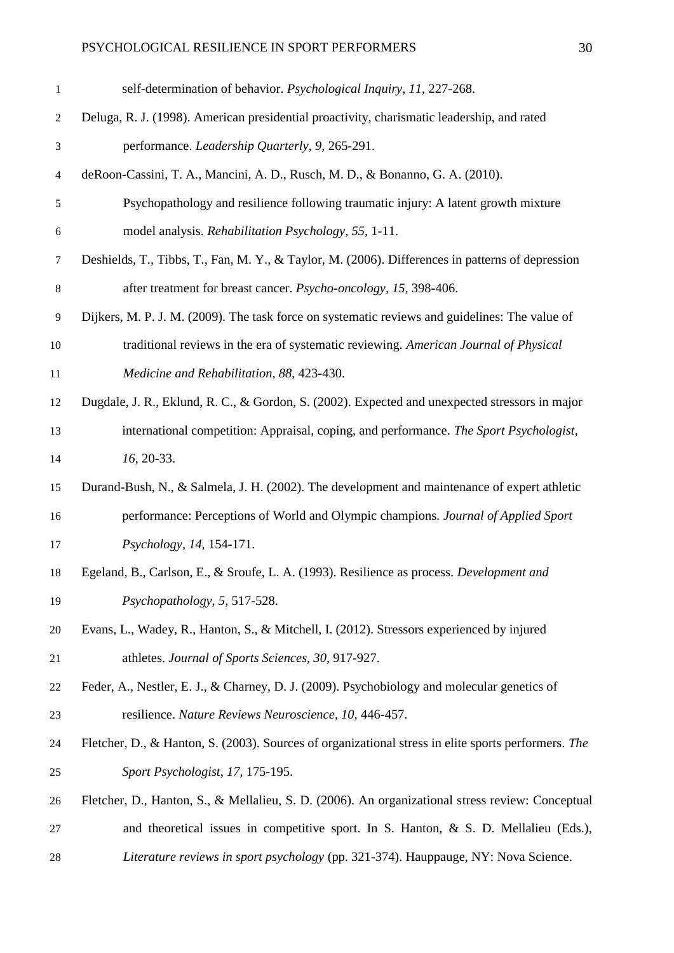| $\mathbf{1}$ | self-determination of behavior. Psychological Inquiry, 11, 227-268.                                 |
|--------------|-----------------------------------------------------------------------------------------------------|
| 2            | Deluga, R. J. (1998). American presidential proactivity, charismatic leadership, and rated          |
| 3            | performance. Leadership Quarterly, 9, 265-291.                                                      |
| 4            | deRoon-Cassini, T. A., Mancini, A. D., Rusch, M. D., & Bonanno, G. A. (2010).                       |
| 5            | Psychopathology and resilience following traumatic injury: A latent growth mixture                  |
| 6            | model analysis. Rehabilitation Psychology, 55, 1-11.                                                |
| 7            | Deshields, T., Tibbs, T., Fan, M. Y., & Taylor, M. (2006). Differences in patterns of depression    |
| 8            | after treatment for breast cancer. Psycho-oncology, 15, 398-406.                                    |
| 9            | Dijkers, M. P. J. M. (2009). The task force on systematic reviews and guidelines: The value of      |
| 10           | traditional reviews in the era of systematic reviewing. American Journal of Physical                |
| 11           | Medicine and Rehabilitation, 88, 423-430.                                                           |
| 12           | Dugdale, J. R., Eklund, R. C., & Gordon, S. (2002). Expected and unexpected stressors in major      |
| 13           | international competition: Appraisal, coping, and performance. The Sport Psychologist,              |
| 14           | $16, 20-33.$                                                                                        |
| 15           | Durand-Bush, N., & Salmela, J. H. (2002). The development and maintenance of expert athletic        |
| 16           | performance: Perceptions of World and Olympic champions. Journal of Applied Sport                   |
| 17           | Psychology, 14, 154-171.                                                                            |
| 18           | Egeland, B., Carlson, E., & Sroufe, L. A. (1993). Resilience as process. Development and            |
| 19           | Psychopathology, 5, 517-528.                                                                        |
| 20           | Evans, L., Wadey, R., Hanton, S., & Mitchell, I. (2012). Stressors experienced by injured           |
| 21           | athletes. Journal of Sports Sciences, 30, 917-927.                                                  |
| 22           | Feder, A., Nestler, E. J., & Charney, D. J. (2009). Psychobiology and molecular genetics of         |
| 23           | resilience. Nature Reviews Neuroscience, 10, 446-457.                                               |
| 24           | Fletcher, D., & Hanton, S. (2003). Sources of organizational stress in elite sports performers. The |
| 25           | Sport Psychologist, 17, 175-195.                                                                    |
| 26           | Fletcher, D., Hanton, S., & Mellalieu, S. D. (2006). An organizational stress review: Conceptual    |
| 27           | and theoretical issues in competitive sport. In S. Hanton, $\&$ S. D. Mellalieu (Eds.),             |
| 28           | Literature reviews in sport psychology (pp. 321-374). Hauppauge, NY: Nova Science.                  |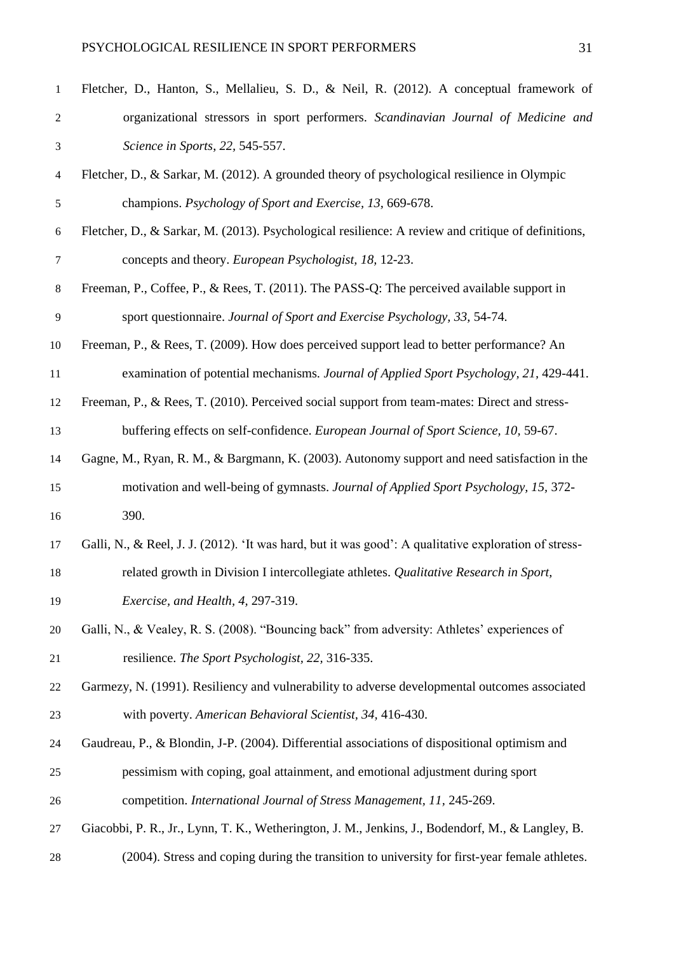| $\mathbf{1}$   | Fletcher, D., Hanton, S., Mellalieu, S. D., & Neil, R. (2012). A conceptual framework of              |
|----------------|-------------------------------------------------------------------------------------------------------|
| $\overline{2}$ | organizational stressors in sport performers. Scandinavian Journal of Medicine and                    |
| 3              | Science in Sports, 22, 545-557.                                                                       |
| $\overline{4}$ | Fletcher, D., & Sarkar, M. (2012). A grounded theory of psychological resilience in Olympic           |
| 5              | champions. Psychology of Sport and Exercise, 13, 669-678.                                             |
| $\sqrt{6}$     | Fletcher, D., & Sarkar, M. (2013). Psychological resilience: A review and critique of definitions,    |
| 7              | concepts and theory. European Psychologist, 18, 12-23.                                                |
| 8              | Freeman, P., Coffee, P., & Rees, T. (2011). The PASS-Q: The perceived available support in            |
| 9              | sport questionnaire. Journal of Sport and Exercise Psychology, 33, 54-74.                             |
| 10             | Freeman, P., & Rees, T. (2009). How does perceived support lead to better performance? An             |
| 11             | examination of potential mechanisms. Journal of Applied Sport Psychology, 21, 429-441.                |
| 12             | Freeman, P., & Rees, T. (2010). Perceived social support from team-mates: Direct and stress-          |
| 13             | buffering effects on self-confidence. European Journal of Sport Science, 10, 59-67.                   |
| 14             | Gagne, M., Ryan, R. M., & Bargmann, K. (2003). Autonomy support and need satisfaction in the          |
| 15             | motivation and well-being of gymnasts. Journal of Applied Sport Psychology, 15, 372-                  |
| 16             | 390.                                                                                                  |
| 17             | Galli, N., & Reel, J. J. (2012). 'It was hard, but it was good': A qualitative exploration of stress- |
| 18             | related growth in Division I intercollegiate athletes. Qualitative Research in Sport,                 |
| 19             | Exercise, and Health, 4, 297-319.                                                                     |
| 20             | Galli, N., & Vealey, R. S. (2008). "Bouncing back" from adversity: Athletes' experiences of           |
| 21             | resilience. The Sport Psychologist, 22, 316-335.                                                      |
| 22             | Garmezy, N. (1991). Resiliency and vulnerability to adverse developmental outcomes associated         |
| 23             | with poverty. American Behavioral Scientist, 34, 416-430.                                             |
| 24             | Gaudreau, P., & Blondin, J-P. (2004). Differential associations of dispositional optimism and         |
| 25             | pessimism with coping, goal attainment, and emotional adjustment during sport                         |
| 26             | competition. International Journal of Stress Management, 11, 245-269.                                 |
| 27             | Giacobbi, P. R., Jr., Lynn, T. K., Wetherington, J. M., Jenkins, J., Bodendorf, M., & Langley, B.     |
| 28             | (2004). Stress and coping during the transition to university for first-year female athletes.         |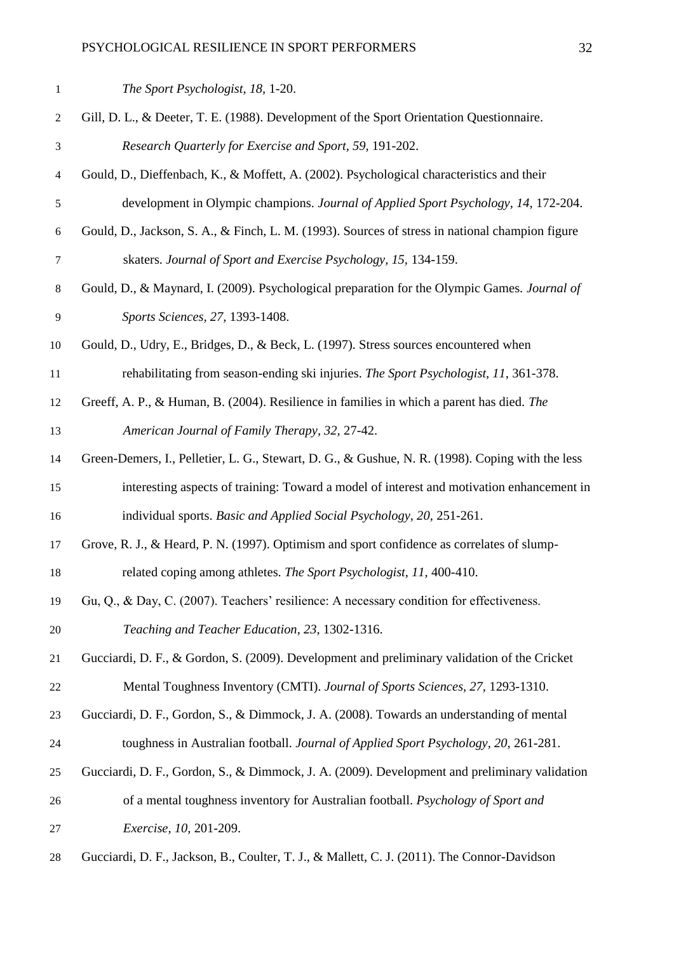| $\mathbf{1}$     | The Sport Psychologist, 18, 1-20.                                                                |
|------------------|--------------------------------------------------------------------------------------------------|
| $\overline{c}$   | Gill, D. L., & Deeter, T. E. (1988). Development of the Sport Orientation Questionnaire.         |
| $\mathfrak{Z}$   | Research Quarterly for Exercise and Sport, 59, 191-202.                                          |
| $\overline{4}$   | Gould, D., Dieffenbach, K., & Moffett, A. (2002). Psychological characteristics and their        |
| $\sqrt{5}$       | development in Olympic champions. Journal of Applied Sport Psychology, 14, 172-204.              |
| $\boldsymbol{6}$ | Gould, D., Jackson, S. A., & Finch, L. M. (1993). Sources of stress in national champion figure  |
| $\tau$           | skaters. Journal of Sport and Exercise Psychology, 15, 134-159.                                  |
| $\,8$            | Gould, D., & Maynard, I. (2009). Psychological preparation for the Olympic Games. Journal of     |
| $\mathbf{9}$     | Sports Sciences, 27, 1393-1408.                                                                  |
| 10               | Gould, D., Udry, E., Bridges, D., & Beck, L. (1997). Stress sources encountered when             |
| 11               | rehabilitating from season-ending ski injuries. The Sport Psychologist, 11, 361-378.             |
| 12               | Greeff, A. P., & Human, B. (2004). Resilience in families in which a parent has died. The        |
| 13               | American Journal of Family Therapy, 32, 27-42.                                                   |
| 14               | Green-Demers, I., Pelletier, L. G., Stewart, D. G., & Gushue, N. R. (1998). Coping with the less |
| 15               | interesting aspects of training: Toward a model of interest and motivation enhancement in        |
| 16               | individual sports. Basic and Applied Social Psychology, 20, 251-261.                             |
| 17               | Grove, R. J., & Heard, P. N. (1997). Optimism and sport confidence as correlates of slump-       |
| 18               | related coping among athletes. The Sport Psychologist, 11, 400-410.                              |
| 19               | Gu, Q., & Day, C. (2007). Teachers' resilience: A necessary condition for effectiveness.         |
| 20               | Teaching and Teacher Education, 23, 1302-1316.                                                   |
| 21               | Gucciardi, D. F., & Gordon, S. (2009). Development and preliminary validation of the Cricket     |
| 22               | Mental Toughness Inventory (CMTI). Journal of Sports Sciences, 27, 1293-1310.                    |
| 23               | Gucciardi, D. F., Gordon, S., & Dimmock, J. A. (2008). Towards an understanding of mental        |
| 24               | toughness in Australian football. Journal of Applied Sport Psychology, 20, 261-281.              |
| 25               | Gucciardi, D. F., Gordon, S., & Dimmock, J. A. (2009). Development and preliminary validation    |
| 26               | of a mental toughness inventory for Australian football. Psychology of Sport and                 |
| 27               | Exercise, 10, 201-209.                                                                           |
| 28               | Gucciardi, D. F., Jackson, B., Coulter, T. J., & Mallett, C. J. (2011). The Connor-Davidson      |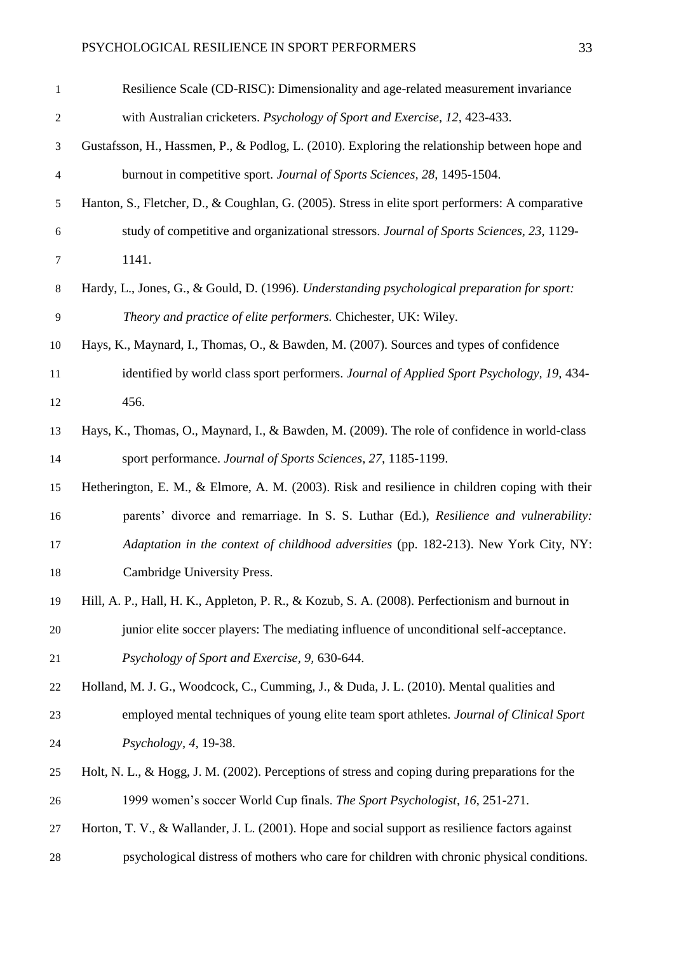| 1              | Resilience Scale (CD-RISC): Dimensionality and age-related measurement invariance                |
|----------------|--------------------------------------------------------------------------------------------------|
| $\mathfrak{2}$ | with Australian cricketers. Psychology of Sport and Exercise, 12, 423-433.                       |
| 3              | Gustafsson, H., Hassmen, P., & Podlog, L. (2010). Exploring the relationship between hope and    |
| $\overline{4}$ | burnout in competitive sport. Journal of Sports Sciences, 28, 1495-1504.                         |
| 5              | Hanton, S., Fletcher, D., & Coughlan, G. (2005). Stress in elite sport performers: A comparative |
| 6              | study of competitive and organizational stressors. Journal of Sports Sciences, 23, 1129-         |
| 7              | 1141.                                                                                            |
| 8              | Hardy, L., Jones, G., & Gould, D. (1996). Understanding psychological preparation for sport:     |
| 9              | Theory and practice of elite performers. Chichester, UK: Wiley.                                  |
| 10             | Hays, K., Maynard, I., Thomas, O., & Bawden, M. (2007). Sources and types of confidence          |
| 11             | identified by world class sport performers. Journal of Applied Sport Psychology, 19, 434-        |
| 12             | 456.                                                                                             |
| 13             | Hays, K., Thomas, O., Maynard, I., & Bawden, M. (2009). The role of confidence in world-class    |
| 14             | sport performance. Journal of Sports Sciences, 27, 1185-1199.                                    |
| 15             | Hetherington, E. M., & Elmore, A. M. (2003). Risk and resilience in children coping with their   |
| 16             | parents' divorce and remarriage. In S. S. Luthar (Ed.), Resilience and vulnerability:            |
| 17             | Adaptation in the context of childhood adversities (pp. 182-213). New York City, NY:             |
| 18             | Cambridge University Press.                                                                      |
| 19             | Hill, A. P., Hall, H. K., Appleton, P. R., & Kozub, S. A. (2008). Perfectionism and burnout in   |
| $20\,$         | junior elite soccer players: The mediating influence of unconditional self-acceptance.           |
| 21             | Psychology of Sport and Exercise, 9, 630-644.                                                    |
| 22             | Holland, M. J. G., Woodcock, C., Cumming, J., & Duda, J. L. (2010). Mental qualities and         |
| 23             | employed mental techniques of young elite team sport athletes. Journal of Clinical Sport         |
| 24             | Psychology, 4, 19-38.                                                                            |
| 25             | Holt, N. L., & Hogg, J. M. (2002). Perceptions of stress and coping during preparations for the  |
| 26             | 1999 women's soccer World Cup finals. The Sport Psychologist, 16, 251-271.                       |
| 27             | Horton, T. V., & Wallander, J. L. (2001). Hope and social support as resilience factors against  |
| 28             | psychological distress of mothers who care for children with chronic physical conditions.        |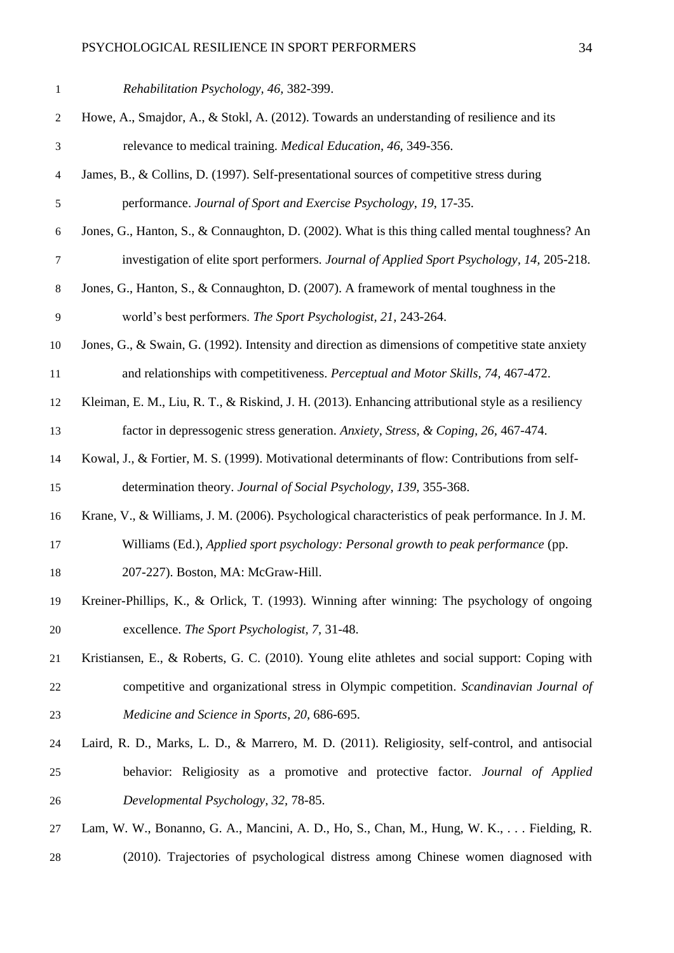| $\mathbf{1}$     | Rehabilitation Psychology, 46, 382-399.                                                            |
|------------------|----------------------------------------------------------------------------------------------------|
| $\overline{c}$   | Howe, A., Smajdor, A., & Stokl, A. $(2012)$ . Towards an understanding of resilience and its       |
| $\mathfrak{Z}$   | relevance to medical training. <i>Medical Education</i> , 46, 349-356.                             |
| $\overline{4}$   | James, B., & Collins, D. (1997). Self-presentational sources of competitive stress during          |
| $\sqrt{5}$       | performance. Journal of Sport and Exercise Psychology, 19, 17-35.                                  |
| $\boldsymbol{6}$ | Jones, G., Hanton, S., & Connaughton, D. (2002). What is this thing called mental toughness? An    |
| $\tau$           | investigation of elite sport performers. Journal of Applied Sport Psychology, 14, 205-218.         |
| $\,8$            | Jones, G., Hanton, S., & Connaughton, D. (2007). A framework of mental toughness in the            |
| 9                | world's best performers. The Sport Psychologist, 21, 243-264.                                      |
| 10               | Jones, G., & Swain, G. (1992). Intensity and direction as dimensions of competitive state anxiety  |
| 11               | and relationships with competitiveness. Perceptual and Motor Skills, 74, 467-472.                  |
| 12               | Kleiman, E. M., Liu, R. T., & Riskind, J. H. (2013). Enhancing attributional style as a resiliency |
| 13               | factor in depressogenic stress generation. Anxiety, Stress, & Coping, 26, 467-474.                 |
| 14               | Kowal, J., & Fortier, M. S. (1999). Motivational determinants of flow: Contributions from self-    |
| 15               | determination theory. Journal of Social Psychology, 139, 355-368.                                  |
| 16               | Krane, V., & Williams, J. M. (2006). Psychological characteristics of peak performance. In J. M.   |
| 17               | Williams (Ed.), Applied sport psychology: Personal growth to peak performance (pp.                 |
| 18               | 207-227). Boston, MA: McGraw-Hill.                                                                 |
| 19               | Kreiner-Phillips, K., & Orlick, T. (1993). Winning after winning: The psychology of ongoing        |
| 20               | excellence. The Sport Psychologist, 7, 31-48.                                                      |
| 21               | Kristiansen, E., & Roberts, G. C. (2010). Young elite athletes and social support: Coping with     |
| 22               | competitive and organizational stress in Olympic competition. Scandinavian Journal of              |
| 23               | Medicine and Science in Sports, 20, 686-695.                                                       |
| 24               | Laird, R. D., Marks, L. D., & Marrero, M. D. (2011). Religiosity, self-control, and antisocial     |
| 25               | behavior: Religiosity as a promotive and protective factor. Journal of Applied                     |
| 26               | Developmental Psychology, 32, 78-85.                                                               |
| 27               | Lam, W. W., Bonanno, G. A., Mancini, A. D., Ho, S., Chan, M., Hung, W. K.,  Fielding, R.           |
| 28               | (2010). Trajectories of psychological distress among Chinese women diagnosed with                  |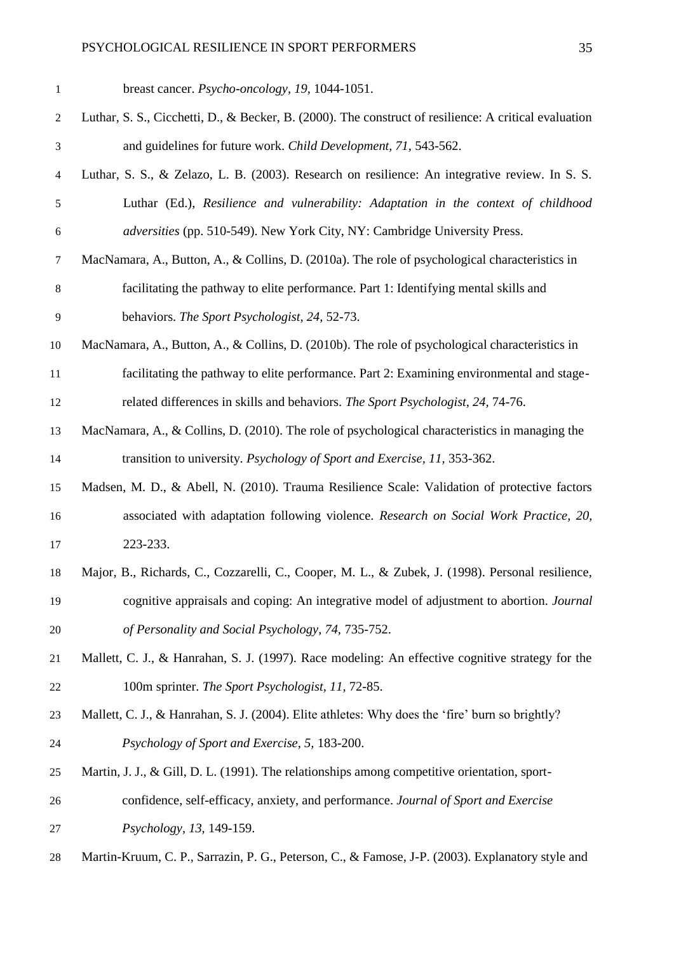| 1              | breast cancer. <i>Psycho-oncology</i> , 19, 1044-1051.                                                |
|----------------|-------------------------------------------------------------------------------------------------------|
| $\mathbf{2}$   | Luthar, S. S., Cicchetti, D., & Becker, B. (2000). The construct of resilience: A critical evaluation |
| $\mathfrak{Z}$ | and guidelines for future work. Child Development, 71, 543-562.                                       |
| $\overline{4}$ | Luthar, S. S., & Zelazo, L. B. (2003). Research on resilience: An integrative review. In S. S.        |
| $\sqrt{5}$     | Luthar (Ed.), Resilience and vulnerability: Adaptation in the context of childhood                    |
| $\sqrt{6}$     | adversities (pp. 510-549). New York City, NY: Cambridge University Press.                             |
| 7              | MacNamara, A., Button, A., & Collins, D. (2010a). The role of psychological characteristics in        |
| $\,8$          | facilitating the pathway to elite performance. Part 1: Identifying mental skills and                  |
| $\overline{9}$ | behaviors. The Sport Psychologist, 24, 52-73.                                                         |
| 10             | MacNamara, A., Button, A., & Collins, D. (2010b). The role of psychological characteristics in        |
| 11             | facilitating the pathway to elite performance. Part 2: Examining environmental and stage-             |
| 12             | related differences in skills and behaviors. The Sport Psychologist, 24, 74-76.                       |
| 13             | MacNamara, A., & Collins, D. (2010). The role of psychological characteristics in managing the        |
| 14             | transition to university. Psychology of Sport and Exercise, 11, 353-362.                              |
| 15             | Madsen, M. D., & Abell, N. (2010). Trauma Resilience Scale: Validation of protective factors          |
| 16             | associated with adaptation following violence. Research on Social Work Practice, 20,                  |
| 17             | 223-233.                                                                                              |
| 18             | Major, B., Richards, C., Cozzarelli, C., Cooper, M. L., & Zubek, J. (1998). Personal resilience,      |
| 19             | cognitive appraisals and coping: An integrative model of adjustment to abortion. Journal              |
| 20             | of Personality and Social Psychology, 74, 735-752.                                                    |
| 21             | Mallett, C. J., & Hanrahan, S. J. (1997). Race modeling: An effective cognitive strategy for the      |
| 22             | 100m sprinter. The Sport Psychologist, 11, 72-85.                                                     |
| 23             | Mallett, C. J., & Hanrahan, S. J. (2004). Elite athletes: Why does the 'fire' burn so brightly?       |
| 24             | Psychology of Sport and Exercise, 5, 183-200.                                                         |
| 25             | Martin, J. J., & Gill, D. L. (1991). The relationships among competitive orientation, sport-          |
| 26             | confidence, self-efficacy, anxiety, and performance. Journal of Sport and Exercise                    |
| 27             | Psychology, 13, 149-159.                                                                              |
| 28             | Martin-Kruum, C. P., Sarrazin, P. G., Peterson, C., & Famose, J-P. (2003). Explanatory style and      |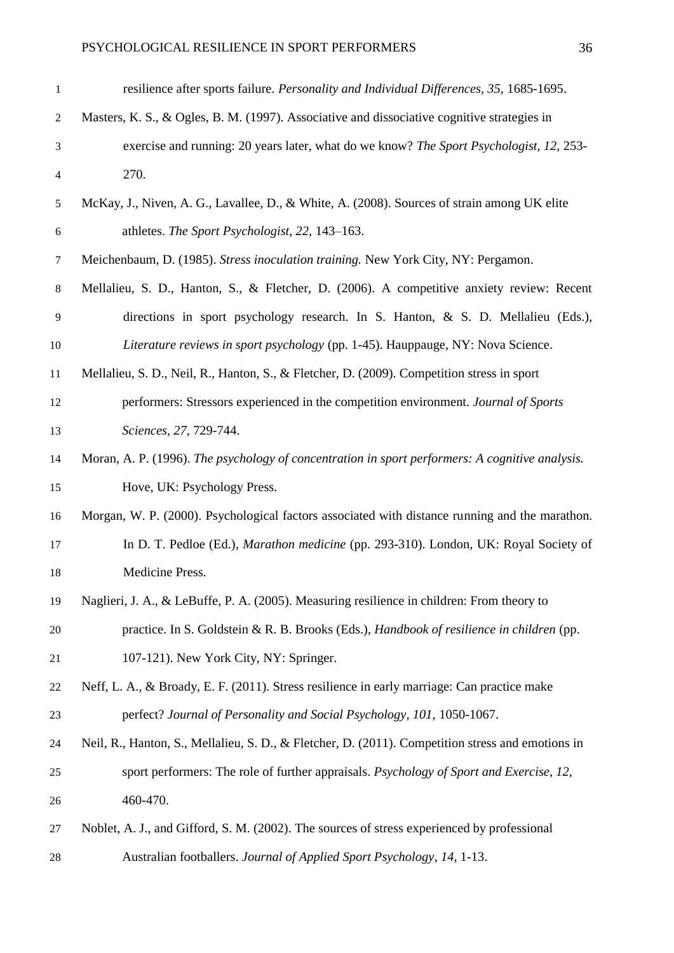| 1                | resilience after sports failure. Personality and Individual Differences, 35, 1685-1695.           |
|------------------|---------------------------------------------------------------------------------------------------|
| $\boldsymbol{2}$ | Masters, K. S., & Ogles, B. M. (1997). Associative and dissociative cognitive strategies in       |
| 3                | exercise and running: 20 years later, what do we know? The Sport Psychologist, 12, 253-           |
| $\overline{4}$   | 270.                                                                                              |
| 5                | McKay, J., Niven, A. G., Lavallee, D., & White, A. (2008). Sources of strain among UK elite       |
| 6                | athletes. The Sport Psychologist, 22, 143-163.                                                    |
| 7                | Meichenbaum, D. (1985). Stress inoculation training. New York City, NY: Pergamon.                 |
| $8\,$            | Mellalieu, S. D., Hanton, S., & Fletcher, D. (2006). A competitive anxiety review: Recent         |
| 9                | directions in sport psychology research. In S. Hanton, & S. D. Mellalieu (Eds.),                  |
| 10               | Literature reviews in sport psychology (pp. 1-45). Hauppauge, NY: Nova Science.                   |
| 11               | Mellalieu, S. D., Neil, R., Hanton, S., & Fletcher, D. (2009). Competition stress in sport        |
| 12               | performers: Stressors experienced in the competition environment. Journal of Sports               |
| 13               | Sciences, 27, 729-744.                                                                            |
| 14               | Moran, A. P. (1996). The psychology of concentration in sport performers: A cognitive analysis.   |
| 15               | Hove, UK: Psychology Press.                                                                       |
| 16               | Morgan, W. P. (2000). Psychological factors associated with distance running and the marathon.    |
| 17               | In D. T. Pedloe (Ed.), Marathon medicine (pp. 293-310). London, UK: Royal Society of              |
| 18               | Medicine Press.                                                                                   |
| 19               | Naglieri, J. A., & LeBuffe, P. A. (2005). Measuring resilience in children: From theory to        |
| 20               | practice. In S. Goldstein & R. B. Brooks (Eds.), Handbook of resilience in children (pp.          |
| 21               | 107-121). New York City, NY: Springer.                                                            |
| 22               | Neff, L. A., & Broady, E. F. (2011). Stress resilience in early marriage: Can practice make       |
| 23               | perfect? Journal of Personality and Social Psychology, 101, 1050-1067.                            |
| 24               | Neil, R., Hanton, S., Mellalieu, S. D., & Fletcher, D. (2011). Competition stress and emotions in |
| 25               | sport performers: The role of further appraisals. Psychology of Sport and Exercise, 12,           |
| 26               | 460-470.                                                                                          |
| 27               | Noblet, A. J., and Gifford, S. M. (2002). The sources of stress experienced by professional       |
| 28               | Australian footballers. Journal of Applied Sport Psychology, 14, 1-13.                            |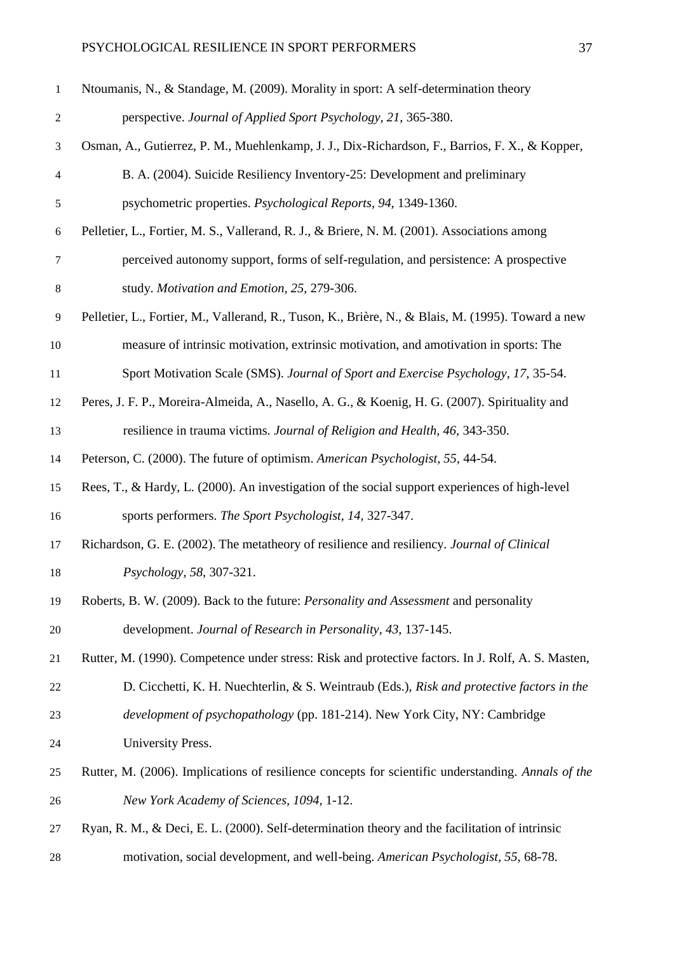| $\mathbf{1}$   | Ntoumanis, N., & Standage, M. (2009). Morality in sport: A self-determination theory               |
|----------------|----------------------------------------------------------------------------------------------------|
| $\overline{2}$ | perspective. Journal of Applied Sport Psychology, 21, 365-380.                                     |
| 3              | Osman, A., Gutierrez, P. M., Muehlenkamp, J. J., Dix-Richardson, F., Barrios, F. X., & Kopper,     |
| 4              | B. A. (2004). Suicide Resiliency Inventory-25: Development and preliminary                         |
| 5              | psychometric properties. Psychological Reports, 94, 1349-1360.                                     |
| 6              | Pelletier, L., Fortier, M. S., Vallerand, R. J., & Briere, N. M. (2001). Associations among        |
| $\tau$         | perceived autonomy support, forms of self-regulation, and persistence: A prospective               |
| 8              | study. Motivation and Emotion, 25, 279-306.                                                        |
| 9              | Pelletier, L., Fortier, M., Vallerand, R., Tuson, K., Brière, N., & Blais, M. (1995). Toward a new |
| 10             | measure of intrinsic motivation, extrinsic motivation, and amotivation in sports: The              |
| 11             | Sport Motivation Scale (SMS). Journal of Sport and Exercise Psychology, 17, 35-54.                 |
| 12             | Peres, J. F. P., Moreira-Almeida, A., Nasello, A. G., & Koenig, H. G. (2007). Spirituality and     |
| 13             | resilience in trauma victims. Journal of Religion and Health, 46, 343-350.                         |
| 14             | Peterson, C. (2000). The future of optimism. American Psychologist, 55, 44-54.                     |
| 15             | Rees, T., & Hardy, L. (2000). An investigation of the social support experiences of high-level     |
| 16             | sports performers. The Sport Psychologist, 14, 327-347.                                            |
| 17             | Richardson, G. E. (2002). The metatheory of resilience and resiliency. Journal of Clinical         |
| 18             | Psychology, 58, 307-321.                                                                           |
| 19             | Roberts, B. W. (2009). Back to the future: <i>Personality and Assessment</i> and personality       |
| 20             | development. Journal of Research in Personality, 43, 137-145.                                      |
| 21             | Rutter, M. (1990). Competence under stress: Risk and protective factors. In J. Rolf, A. S. Masten, |
| 22             | D. Cicchetti, K. H. Nuechterlin, & S. Weintraub (Eds.), Risk and protective factors in the         |
| 23             | development of psychopathology (pp. 181-214). New York City, NY: Cambridge                         |
| 24             | University Press.                                                                                  |
| 25             | Rutter, M. (2006). Implications of resilience concepts for scientific understanding. Annals of the |
| 26             | New York Academy of Sciences, 1094, 1-12.                                                          |
| 27             | Ryan, R. M., & Deci, E. L. (2000). Self-determination theory and the facilitation of intrinsic     |
| 28             | motivation, social development, and well-being. American Psychologist, 55, 68-78.                  |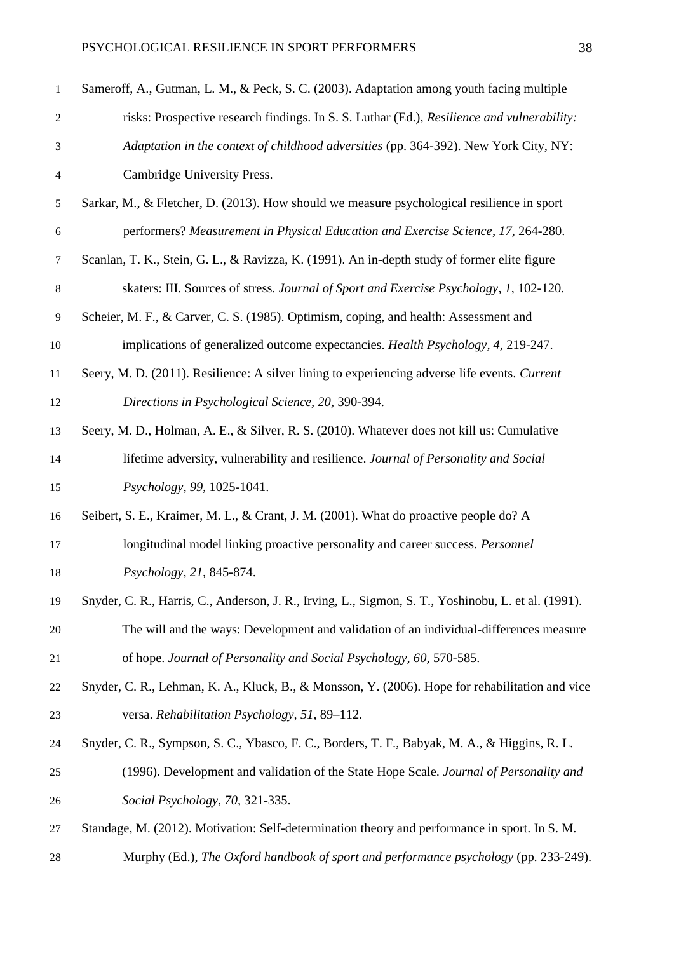| $\mathbf{1}$             | Sameroff, A., Gutman, L. M., & Peck, S. C. (2003). Adaptation among youth facing multiple           |
|--------------------------|-----------------------------------------------------------------------------------------------------|
| $\mathfrak{2}$           | risks: Prospective research findings. In S. S. Luthar (Ed.), Resilience and vulnerability:          |
| 3                        | Adaptation in the context of childhood adversities (pp. 364-392). New York City, NY:                |
| $\overline{\mathcal{A}}$ | Cambridge University Press.                                                                         |
| $\sqrt{5}$               | Sarkar, M., & Fletcher, D. (2013). How should we measure psychological resilience in sport          |
| $\boldsymbol{6}$         | performers? Measurement in Physical Education and Exercise Science, 17, 264-280.                    |
| $\tau$                   | Scanlan, T. K., Stein, G. L., & Ravizza, K. (1991). An in-depth study of former elite figure        |
| $\,8\,$                  | skaters: III. Sources of stress. Journal of Sport and Exercise Psychology, 1, 102-120.              |
| 9                        | Scheier, M. F., & Carver, C. S. (1985). Optimism, coping, and health: Assessment and                |
| 10                       | implications of generalized outcome expectancies. Health Psychology, 4, 219-247.                    |
| 11                       | Seery, M. D. (2011). Resilience: A silver lining to experiencing adverse life events. Current       |
| 12                       | Directions in Psychological Science, 20, 390-394.                                                   |
| 13                       | Seery, M. D., Holman, A. E., & Silver, R. S. (2010). Whatever does not kill us: Cumulative          |
| 14                       | lifetime adversity, vulnerability and resilience. Journal of Personality and Social                 |
| 15                       | Psychology, 99, 1025-1041.                                                                          |
| 16                       | Seibert, S. E., Kraimer, M. L., & Crant, J. M. (2001). What do proactive people do? A               |
| 17                       | longitudinal model linking proactive personality and career success. Personnel                      |
| 18                       | Psychology, 21, 845-874.                                                                            |
| 19                       | Snyder, C. R., Harris, C., Anderson, J. R., Irving, L., Sigmon, S. T., Yoshinobu, L. et al. (1991). |
| 20                       | The will and the ways: Development and validation of an individual-differences measure              |
| 21                       | of hope. Journal of Personality and Social Psychology, 60, 570-585.                                 |
| 22                       | Snyder, C. R., Lehman, K. A., Kluck, B., & Monsson, Y. (2006). Hope for rehabilitation and vice     |
| 23                       | versa. Rehabilitation Psychology, 51, 89-112.                                                       |
| 24                       | Snyder, C. R., Sympson, S. C., Ybasco, F. C., Borders, T. F., Babyak, M. A., & Higgins, R. L.       |
| 25                       | (1996). Development and validation of the State Hope Scale. Journal of Personality and              |
| 26                       | Social Psychology, 70, 321-335.                                                                     |
| 27                       | Standage, M. (2012). Motivation: Self-determination theory and performance in sport. In S. M.       |
| 28                       | Murphy (Ed.), The Oxford handbook of sport and performance psychology (pp. 233-249).                |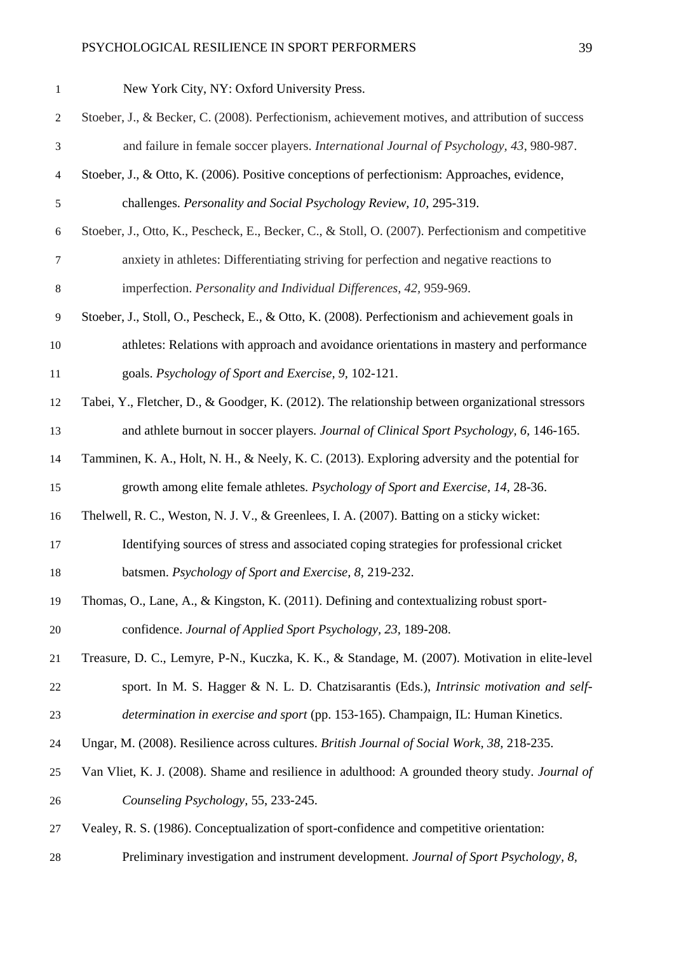| $\mathbf{1}$   | New York City, NY: Oxford University Press.                                                            |
|----------------|--------------------------------------------------------------------------------------------------------|
| $\overline{c}$ | Stoeber, J., & Becker, C. (2008). Perfectionism, achievement motives, and attribution of success       |
| 3              | and failure in female soccer players. International Journal of Psychology, 43, 980-987.                |
| $\overline{4}$ | Stoeber, J., & Otto, K. (2006). Positive conceptions of perfectionism: Approaches, evidence,           |
| $\mathfrak s$  | challenges. Personality and Social Psychology Review, 10, 295-319.                                     |
| 6              | Stoeber, J., Otto, K., Pescheck, E., Becker, C., & Stoll, O. (2007). Perfectionism and competitive     |
| $\tau$         | anxiety in athletes: Differentiating striving for perfection and negative reactions to                 |
| $8\,$          | imperfection. Personality and Individual Differences, 42, 959-969.                                     |
| $\overline{9}$ | Stoeber, J., Stoll, O., Pescheck, E., & Otto, K. (2008). Perfectionism and achievement goals in        |
| 10             | athletes: Relations with approach and avoidance orientations in mastery and performance                |
| 11             | goals. Psychology of Sport and Exercise, 9, 102-121.                                                   |
| 12             | Tabei, Y., Fletcher, D., & Goodger, K. (2012). The relationship between organizational stressors       |
| 13             | and athlete burnout in soccer players. Journal of Clinical Sport Psychology, 6, 146-165.               |
| 14             | Tamminen, K. A., Holt, N. H., & Neely, K. C. (2013). Exploring adversity and the potential for         |
| 15             | growth among elite female athletes. Psychology of Sport and Exercise, 14, 28-36.                       |
| 16             | Thelwell, R. C., Weston, N. J. V., & Greenlees, I. A. (2007). Batting on a sticky wicket:              |
| 17             | Identifying sources of stress and associated coping strategies for professional cricket                |
| 18             | batsmen. Psychology of Sport and Exercise, 8, 219-232.                                                 |
| 19             | Thomas, O., Lane, A., & Kingston, K. (2011). Defining and contextualizing robust sport-                |
| 20             | confidence. Journal of Applied Sport Psychology, 23, 189-208.                                          |
| 21             | Treasure, D. C., Lemyre, P-N., Kuczka, K. K., & Standage, M. (2007). Motivation in elite-level         |
| 22             | sport. In M. S. Hagger & N. L. D. Chatzisarantis (Eds.), Intrinsic motivation and self-                |
| 23             | determination in exercise and sport (pp. 153-165). Champaign, IL: Human Kinetics.                      |
| 24             | Ungar, M. (2008). Resilience across cultures. British Journal of Social Work, 38, 218-235.             |
| 25             | Van Vliet, K. J. (2008). Shame and resilience in adulthood: A grounded theory study. <i>Journal of</i> |
| 26             | Counseling Psychology, 55, 233-245.                                                                    |
| 27             | Vealey, R. S. (1986). Conceptualization of sport-confidence and competitive orientation:               |
| 28             | Preliminary investigation and instrument development. Journal of Sport Psychology, 8,                  |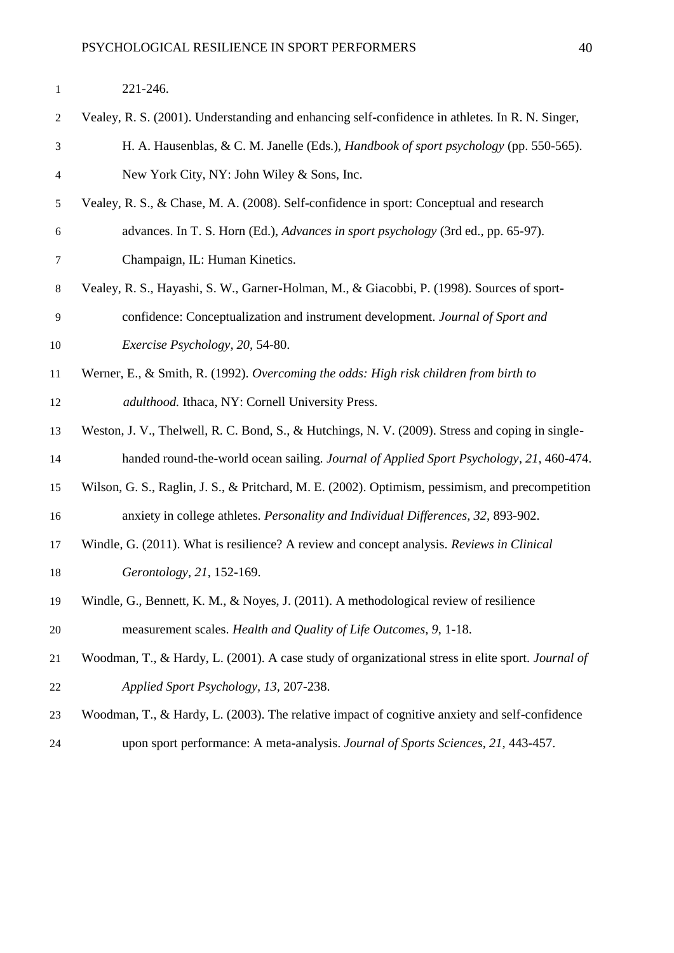| $\overline{2}$   | Vealey, R. S. (2001). Understanding and enhancing self-confidence in athletes. In R. N. Singer,   |
|------------------|---------------------------------------------------------------------------------------------------|
|                  |                                                                                                   |
| 3                | H. A. Hausenblas, & C. M. Janelle (Eds.), <i>Handbook of sport psychology</i> (pp. 550-565).      |
| $\overline{4}$   | New York City, NY: John Wiley & Sons, Inc.                                                        |
| 5                | Vealey, R. S., & Chase, M. A. (2008). Self-confidence in sport: Conceptual and research           |
| $\boldsymbol{6}$ | advances. In T. S. Horn (Ed.), Advances in sport psychology (3rd ed., pp. 65-97).                 |
| $\tau$           | Champaign, IL: Human Kinetics.                                                                    |
| $\,8$            | Vealey, R. S., Hayashi, S. W., Garner-Holman, M., & Giacobbi, P. (1998). Sources of sport-        |
| 9                | confidence: Conceptualization and instrument development. Journal of Sport and                    |
| 10               | Exercise Psychology, 20, 54-80.                                                                   |
| 11               | Werner, E., & Smith, R. (1992). Overcoming the odds: High risk children from birth to             |
| 12               | adulthood. Ithaca, NY: Cornell University Press.                                                  |
| 13               | Weston, J. V., Thelwell, R. C. Bond, S., & Hutchings, N. V. (2009). Stress and coping in single-  |
| 14               | handed round-the-world ocean sailing. Journal of Applied Sport Psychology, 21, 460-474.           |
| 15               | Wilson, G. S., Raglin, J. S., & Pritchard, M. E. (2002). Optimism, pessimism, and precompetition  |
| 16               | anxiety in college athletes. Personality and Individual Differences, 32, 893-902.                 |
| 17               | Windle, G. (2011). What is resilience? A review and concept analysis. Reviews in Clinical         |
| 18               | Gerontology, 21, 152-169.                                                                         |
| 19               | Windle, G., Bennett, K. M., & Noyes, J. (2011). A methodological review of resilience             |
| 20               | measurement scales. Health and Quality of Life Outcomes, 9, 1-18.                                 |
| 21               | Woodman, T., & Hardy, L. (2001). A case study of organizational stress in elite sport. Journal of |
| 22               | Applied Sport Psychology, 13, 207-238.                                                            |
| 23               | Woodman, T., & Hardy, L. (2003). The relative impact of cognitive anxiety and self-confidence     |
| 24               | upon sport performance: A meta-analysis. Journal of Sports Sciences, 21, 443-457.                 |